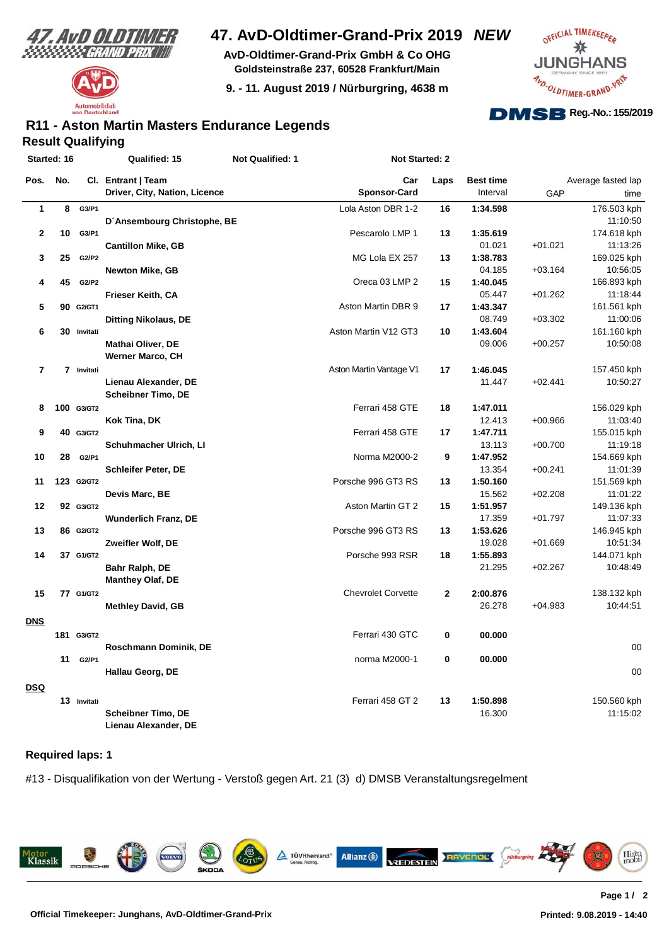



**AvD-Oldtimer-Grand-Prix GmbH & Co OHG Goldsteinstraße 237, 60528 Frankfurt/Main**

**9. - 11. August 2019 / Nürburgring, 4638 m**



#### **Result Qualifying R11 - Aston Martin Masters Endurance Legends**

| Cl. Entrant   Team<br>Average fasted lap<br>Pos.<br>No.<br>Car<br>Laps<br><b>Best time</b><br><b>Sponsor-Card</b><br>Driver, City, Nation, Licence<br>Interval<br>GAP<br>Lola Aston DBR 1-2<br>$\mathbf{1}$<br>G3/P1<br>1:34.598<br>8<br>16<br>D'Ansembourg Christophe, BE<br>2<br>10 G3/P1<br>Pescarolo LMP 1<br>13<br>1:35.619<br>$+01.021$<br><b>Cantillon Mike, GB</b><br>01.021<br>MG Lola EX 257<br>1:38.783<br>3<br>25<br>G2/P2<br>13<br>04.185<br>$+03.164$<br><b>Newton Mike, GB</b><br>Oreca 03 LMP 2<br>4<br>45 G2/P2<br>15<br>1:40.045<br>05.447<br>Frieser Keith, CA<br>$+01.262$<br>5<br>1:43.347<br>90 G2/GT1<br>Aston Martin DBR 9<br>17<br>08.749<br>$+03.302$<br><b>Ditting Nikolaus, DE</b><br>6<br>Aston Martin V12 GT3<br>30 Invitati<br>10<br>1:43.604<br><b>Mathai Oliver, DE</b><br>09.006<br>$+00.257$<br><b>Werner Marco, CH</b><br>7<br>7 Invitati<br>Aston Martin Vantage V1<br>17<br>1:46.045<br>Lienau Alexander, DE<br>11.447<br>$+02.441$<br><b>Scheibner Timo, DE</b><br>100 G3/GT2<br>Ferrari 458 GTE<br>18<br>8<br>1:47.011<br>12.413<br>$+00.966$<br>Kok Tina, DK<br>Ferrari 458 GTE<br>1:47.711<br>9<br>40 G3/GT2<br>17<br>Schuhmacher Ulrich, LI<br>13.113<br>$+00.700$<br>1:47.952<br>10<br>Norma M2000-2<br>9<br>28<br>G2/P1 | Started: 16 | Qualified: 15 | Not Qualified: 1 | Not Started: 2 |  |             |
|----------------------------------------------------------------------------------------------------------------------------------------------------------------------------------------------------------------------------------------------------------------------------------------------------------------------------------------------------------------------------------------------------------------------------------------------------------------------------------------------------------------------------------------------------------------------------------------------------------------------------------------------------------------------------------------------------------------------------------------------------------------------------------------------------------------------------------------------------------------------------------------------------------------------------------------------------------------------------------------------------------------------------------------------------------------------------------------------------------------------------------------------------------------------------------------------------------------------------------------------------------------------|-------------|---------------|------------------|----------------|--|-------------|
|                                                                                                                                                                                                                                                                                                                                                                                                                                                                                                                                                                                                                                                                                                                                                                                                                                                                                                                                                                                                                                                                                                                                                                                                                                                                      |             |               |                  |                |  |             |
|                                                                                                                                                                                                                                                                                                                                                                                                                                                                                                                                                                                                                                                                                                                                                                                                                                                                                                                                                                                                                                                                                                                                                                                                                                                                      |             |               |                  |                |  | time        |
|                                                                                                                                                                                                                                                                                                                                                                                                                                                                                                                                                                                                                                                                                                                                                                                                                                                                                                                                                                                                                                                                                                                                                                                                                                                                      |             |               |                  |                |  | 176.503 kph |
|                                                                                                                                                                                                                                                                                                                                                                                                                                                                                                                                                                                                                                                                                                                                                                                                                                                                                                                                                                                                                                                                                                                                                                                                                                                                      |             |               |                  |                |  | 11:10:50    |
|                                                                                                                                                                                                                                                                                                                                                                                                                                                                                                                                                                                                                                                                                                                                                                                                                                                                                                                                                                                                                                                                                                                                                                                                                                                                      |             |               |                  |                |  | 174.618 kph |
|                                                                                                                                                                                                                                                                                                                                                                                                                                                                                                                                                                                                                                                                                                                                                                                                                                                                                                                                                                                                                                                                                                                                                                                                                                                                      |             |               |                  |                |  | 11:13:26    |
|                                                                                                                                                                                                                                                                                                                                                                                                                                                                                                                                                                                                                                                                                                                                                                                                                                                                                                                                                                                                                                                                                                                                                                                                                                                                      |             |               |                  |                |  | 169.025 kph |
|                                                                                                                                                                                                                                                                                                                                                                                                                                                                                                                                                                                                                                                                                                                                                                                                                                                                                                                                                                                                                                                                                                                                                                                                                                                                      |             |               |                  |                |  | 10:56:05    |
|                                                                                                                                                                                                                                                                                                                                                                                                                                                                                                                                                                                                                                                                                                                                                                                                                                                                                                                                                                                                                                                                                                                                                                                                                                                                      |             |               |                  |                |  | 166.893 kph |
|                                                                                                                                                                                                                                                                                                                                                                                                                                                                                                                                                                                                                                                                                                                                                                                                                                                                                                                                                                                                                                                                                                                                                                                                                                                                      |             |               |                  |                |  | 11:18:44    |
|                                                                                                                                                                                                                                                                                                                                                                                                                                                                                                                                                                                                                                                                                                                                                                                                                                                                                                                                                                                                                                                                                                                                                                                                                                                                      |             |               |                  |                |  | 161.561 kph |
|                                                                                                                                                                                                                                                                                                                                                                                                                                                                                                                                                                                                                                                                                                                                                                                                                                                                                                                                                                                                                                                                                                                                                                                                                                                                      |             |               |                  |                |  | 11:00:06    |
|                                                                                                                                                                                                                                                                                                                                                                                                                                                                                                                                                                                                                                                                                                                                                                                                                                                                                                                                                                                                                                                                                                                                                                                                                                                                      |             |               |                  |                |  | 161.160 kph |
|                                                                                                                                                                                                                                                                                                                                                                                                                                                                                                                                                                                                                                                                                                                                                                                                                                                                                                                                                                                                                                                                                                                                                                                                                                                                      |             |               |                  |                |  | 10:50:08    |
|                                                                                                                                                                                                                                                                                                                                                                                                                                                                                                                                                                                                                                                                                                                                                                                                                                                                                                                                                                                                                                                                                                                                                                                                                                                                      |             |               |                  |                |  |             |
|                                                                                                                                                                                                                                                                                                                                                                                                                                                                                                                                                                                                                                                                                                                                                                                                                                                                                                                                                                                                                                                                                                                                                                                                                                                                      |             |               |                  |                |  | 157.450 kph |
|                                                                                                                                                                                                                                                                                                                                                                                                                                                                                                                                                                                                                                                                                                                                                                                                                                                                                                                                                                                                                                                                                                                                                                                                                                                                      |             |               |                  |                |  | 10:50:27    |
|                                                                                                                                                                                                                                                                                                                                                                                                                                                                                                                                                                                                                                                                                                                                                                                                                                                                                                                                                                                                                                                                                                                                                                                                                                                                      |             |               |                  |                |  |             |
|                                                                                                                                                                                                                                                                                                                                                                                                                                                                                                                                                                                                                                                                                                                                                                                                                                                                                                                                                                                                                                                                                                                                                                                                                                                                      |             |               |                  |                |  | 156.029 kph |
|                                                                                                                                                                                                                                                                                                                                                                                                                                                                                                                                                                                                                                                                                                                                                                                                                                                                                                                                                                                                                                                                                                                                                                                                                                                                      |             |               |                  |                |  | 11:03:40    |
|                                                                                                                                                                                                                                                                                                                                                                                                                                                                                                                                                                                                                                                                                                                                                                                                                                                                                                                                                                                                                                                                                                                                                                                                                                                                      |             |               |                  |                |  | 155.015 kph |
|                                                                                                                                                                                                                                                                                                                                                                                                                                                                                                                                                                                                                                                                                                                                                                                                                                                                                                                                                                                                                                                                                                                                                                                                                                                                      |             |               |                  |                |  | 11:19:18    |
|                                                                                                                                                                                                                                                                                                                                                                                                                                                                                                                                                                                                                                                                                                                                                                                                                                                                                                                                                                                                                                                                                                                                                                                                                                                                      |             |               |                  |                |  | 154.669 kph |
| 13.354<br>$+00.241$<br><b>Schleifer Peter, DE</b>                                                                                                                                                                                                                                                                                                                                                                                                                                                                                                                                                                                                                                                                                                                                                                                                                                                                                                                                                                                                                                                                                                                                                                                                                    |             |               |                  |                |  | 11:01:39    |
| Porsche 996 GT3 RS<br>123 G2/GT2<br>1:50.160<br>11<br>13                                                                                                                                                                                                                                                                                                                                                                                                                                                                                                                                                                                                                                                                                                                                                                                                                                                                                                                                                                                                                                                                                                                                                                                                             |             |               |                  |                |  | 151.569 kph |
| 15.562<br>Devis Marc, BE<br>$+02.208$                                                                                                                                                                                                                                                                                                                                                                                                                                                                                                                                                                                                                                                                                                                                                                                                                                                                                                                                                                                                                                                                                                                                                                                                                                |             |               |                  |                |  | 11:01:22    |
| 12<br>Aston Martin GT 2<br>92 G3/GT2<br>15<br>1:51.957                                                                                                                                                                                                                                                                                                                                                                                                                                                                                                                                                                                                                                                                                                                                                                                                                                                                                                                                                                                                                                                                                                                                                                                                               |             |               |                  |                |  | 149.136 kph |
| 17.359<br><b>Wunderlich Franz, DE</b><br>$+01.797$                                                                                                                                                                                                                                                                                                                                                                                                                                                                                                                                                                                                                                                                                                                                                                                                                                                                                                                                                                                                                                                                                                                                                                                                                   |             |               |                  |                |  | 11:07:33    |
| 1:53.626<br>13<br>86 G2/GT2<br>Porsche 996 GT3 RS<br>13                                                                                                                                                                                                                                                                                                                                                                                                                                                                                                                                                                                                                                                                                                                                                                                                                                                                                                                                                                                                                                                                                                                                                                                                              |             |               |                  |                |  | 146.945 kph |
| 19.028<br>$+01.669$<br>Zweifler Wolf, DE                                                                                                                                                                                                                                                                                                                                                                                                                                                                                                                                                                                                                                                                                                                                                                                                                                                                                                                                                                                                                                                                                                                                                                                                                             |             |               |                  |                |  | 10:51:34    |
| 14<br>37 G1/GT2<br>Porsche 993 RSR<br>18<br>1:55.893                                                                                                                                                                                                                                                                                                                                                                                                                                                                                                                                                                                                                                                                                                                                                                                                                                                                                                                                                                                                                                                                                                                                                                                                                 |             |               |                  |                |  | 144.071 kph |
| Bahr Ralph, DE<br>21.295<br>$+02.267$                                                                                                                                                                                                                                                                                                                                                                                                                                                                                                                                                                                                                                                                                                                                                                                                                                                                                                                                                                                                                                                                                                                                                                                                                                |             |               |                  |                |  | 10:48:49    |
| <b>Manthey Olaf, DE</b>                                                                                                                                                                                                                                                                                                                                                                                                                                                                                                                                                                                                                                                                                                                                                                                                                                                                                                                                                                                                                                                                                                                                                                                                                                              |             |               |                  |                |  |             |
| 15<br>77 G1/GT2<br><b>Chevrolet Corvette</b><br>$\mathbf{2}$<br>2:00.876                                                                                                                                                                                                                                                                                                                                                                                                                                                                                                                                                                                                                                                                                                                                                                                                                                                                                                                                                                                                                                                                                                                                                                                             |             |               |                  |                |  | 138.132 kph |
| 26.278<br>$+04.983$<br><b>Methley David, GB</b>                                                                                                                                                                                                                                                                                                                                                                                                                                                                                                                                                                                                                                                                                                                                                                                                                                                                                                                                                                                                                                                                                                                                                                                                                      |             |               |                  |                |  | 10:44:51    |
|                                                                                                                                                                                                                                                                                                                                                                                                                                                                                                                                                                                                                                                                                                                                                                                                                                                                                                                                                                                                                                                                                                                                                                                                                                                                      |             |               |                  |                |  |             |
| <b>DNS</b>                                                                                                                                                                                                                                                                                                                                                                                                                                                                                                                                                                                                                                                                                                                                                                                                                                                                                                                                                                                                                                                                                                                                                                                                                                                           |             |               |                  |                |  |             |
| Ferrari 430 GTC<br>0<br>181 G3/GT2<br>00.000                                                                                                                                                                                                                                                                                                                                                                                                                                                                                                                                                                                                                                                                                                                                                                                                                                                                                                                                                                                                                                                                                                                                                                                                                         |             |               |                  |                |  |             |
| Roschmann Dominik, DE                                                                                                                                                                                                                                                                                                                                                                                                                                                                                                                                                                                                                                                                                                                                                                                                                                                                                                                                                                                                                                                                                                                                                                                                                                                |             |               |                  |                |  | 00          |
| 0<br>11<br>G2/P1<br>norma M2000-1<br>00.000                                                                                                                                                                                                                                                                                                                                                                                                                                                                                                                                                                                                                                                                                                                                                                                                                                                                                                                                                                                                                                                                                                                                                                                                                          |             |               |                  |                |  |             |
| Hallau Georg, DE                                                                                                                                                                                                                                                                                                                                                                                                                                                                                                                                                                                                                                                                                                                                                                                                                                                                                                                                                                                                                                                                                                                                                                                                                                                     |             |               |                  |                |  | 00          |
| <u>DSQ</u>                                                                                                                                                                                                                                                                                                                                                                                                                                                                                                                                                                                                                                                                                                                                                                                                                                                                                                                                                                                                                                                                                                                                                                                                                                                           |             |               |                  |                |  |             |
| Ferrari 458 GT 2<br>13 Invitati<br>13<br>1:50.898                                                                                                                                                                                                                                                                                                                                                                                                                                                                                                                                                                                                                                                                                                                                                                                                                                                                                                                                                                                                                                                                                                                                                                                                                    |             |               |                  |                |  | 150.560 kph |
| <b>Scheibner Timo, DE</b><br>16.300                                                                                                                                                                                                                                                                                                                                                                                                                                                                                                                                                                                                                                                                                                                                                                                                                                                                                                                                                                                                                                                                                                                                                                                                                                  |             |               |                  |                |  | 11:15:02    |
| Lienau Alexander, DE                                                                                                                                                                                                                                                                                                                                                                                                                                                                                                                                                                                                                                                                                                                                                                                                                                                                                                                                                                                                                                                                                                                                                                                                                                                 |             |               |                  |                |  |             |

#### **Required laps: 1**

#13 - Disqualifikation von der Wertung - Verstoß gegen Art. 21 (3) d) DMSB Veranstaltungsregelment

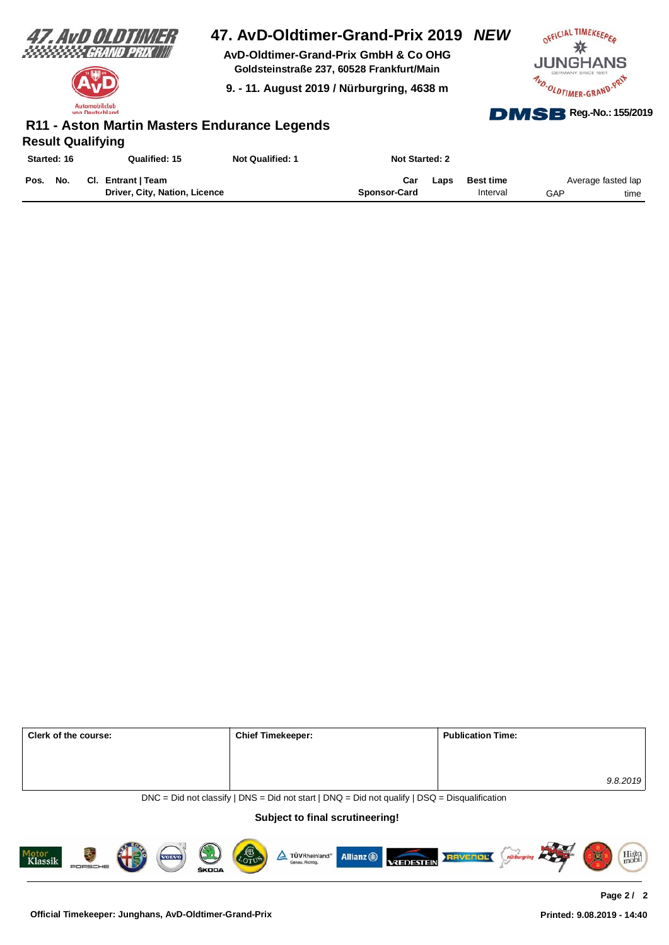

Automobilclub **stechland** 

# **47. AvD-Oldtimer-Grand-Prix 2019** *NEW*

**AvD-Oldtimer-Grand-Prix GmbH & Co OHG Goldsteinstraße 237, 60528 Frankfurt/Main**

**9. - 11. August 2019 / Nürburgring, 4638 m**



### **Result Qualifying R11 - Aston Martin Masters Endurance Legends**

| Started: 16 |     | Qualified: 15                 | <b>Not Qualified: 1</b> | <b>Not Started: 2</b> |      |                  |     |                    |
|-------------|-----|-------------------------------|-------------------------|-----------------------|------|------------------|-----|--------------------|
| Pos.        | No. | Cl. Entrant   Team            |                         | Car                   | Laps | <b>Best time</b> |     | Average fasted lap |
|             |     | Driver, City, Nation, Licence |                         | Sponsor-Card          |      | Interval         | GAP | time               |

| <b>Chief Timekeeper:</b> | <b>Publication Time:</b> |
|--------------------------|--------------------------|
|                          |                          |
|                          |                          |
|                          | 9.8.2019                 |
|                          |                          |

 $DNC = Did$  not classify | DNS = Did not start | DNQ = Did not qualify | DSQ = Disqualification

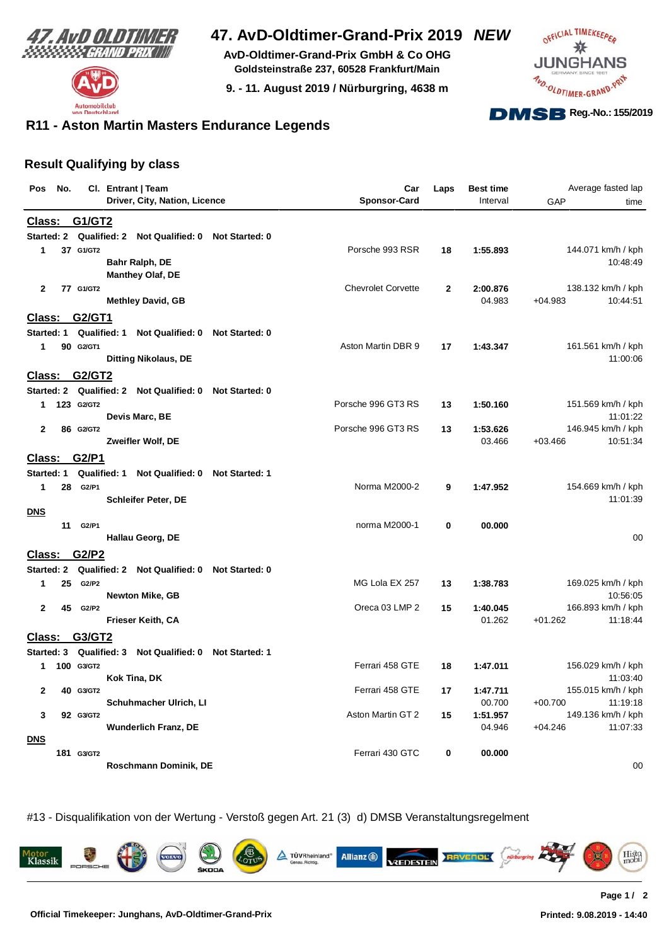



**AvD-Oldtimer-Grand-Prix GmbH & Co OHG Goldsteinstraße 237, 60528 Frankfurt/Main**

**9. - 11. August 2019 / Nürburgring, 4638 m**



### **R11 - Aston Martin Masters Endurance Legends**

#### **Result Qualifying by class**

| Pos            | No. |            | Cl. Entrant   Team                              |                       | Car                       | Laps | <b>Best time</b> |           | Average fasted lap             |
|----------------|-----|------------|-------------------------------------------------|-----------------------|---------------------------|------|------------------|-----------|--------------------------------|
|                |     |            | Driver, City, Nation, Licence                   |                       | <b>Sponsor-Card</b>       |      | Interval         | GAP       | time                           |
| Class:         |     | G1/GT2     |                                                 |                       |                           |      |                  |           |                                |
| Started: 2     |     |            | Qualified: 2<br>Not Qualified: 0 Not Started: 0 |                       |                           |      |                  |           |                                |
| 1              |     | 37 G1/GT2  |                                                 |                       | Porsche 993 RSR           | 18   | 1:55.893         |           | 144.071 km/h / kph             |
|                |     |            | Bahr Ralph, DE                                  |                       |                           |      |                  |           | 10:48:49                       |
|                |     |            | Manthey Olaf, DE                                |                       |                           |      |                  |           |                                |
| $\mathbf{2}$   |     | 77 G1/GT2  |                                                 |                       | <b>Chevrolet Corvette</b> | 2    | 2:00.876         |           | 138.132 km/h / kph             |
|                |     |            | <b>Methley David, GB</b>                        |                       |                           |      | 04.983           | $+04.983$ | 10:44:51                       |
| <u> Class:</u> |     | G2/GT1     |                                                 |                       |                           |      |                  |           |                                |
| Started: 1     |     |            | Qualified: 1<br>Not Qualified: 0                | Not Started: 0        |                           |      |                  |           |                                |
| 1              |     | 90 G2/GT1  |                                                 |                       | Aston Martin DBR 9        | 17   | 1:43.347         |           | 161.561 km/h / kph             |
|                |     |            | <b>Ditting Nikolaus, DE</b>                     |                       |                           |      |                  |           | 11:00:06                       |
| Class:         |     | G2/GT2     |                                                 |                       |                           |      |                  |           |                                |
| Started: 2     |     |            | Qualified: 2<br><b>Not Qualified: 0</b>         | <b>Not Started: 0</b> |                           |      |                  |           |                                |
| 1              |     | 123 G2/GT2 |                                                 |                       | Porsche 996 GT3 RS        | 13   | 1:50.160         |           | 151.569 km/h / kph             |
| $\mathbf{2}$   |     | 86 G2/GT2  | Devis Marc, BE                                  |                       | Porsche 996 GT3 RS        | 13   | 1:53.626         |           | 11:01:22<br>146.945 km/h / kph |
|                |     |            | Zweifler Wolf, DE                               |                       |                           |      | 03.466           | $+03.466$ | 10:51:34                       |
| Class:         |     | G2/P1      |                                                 |                       |                           |      |                  |           |                                |
| Started: 1     |     |            | Qualified: 1<br><b>Not Qualified: 0</b>         | <b>Not Started: 1</b> |                           |      |                  |           |                                |
| 1              | 28  | G2/P1      |                                                 |                       | Norma M2000-2             | 9    | 1:47.952         |           | 154.669 km/h / kph             |
|                |     |            | Schleifer Peter, DE                             |                       |                           |      |                  |           | 11:01:39                       |
| <b>DNS</b>     |     |            |                                                 |                       |                           |      |                  |           |                                |
|                | 11  | G2/P1      |                                                 |                       | norma M2000-1             | 0    | 00.000           |           |                                |
|                |     |            | Hallau Georg, DE                                |                       |                           |      |                  |           | 00                             |
| <b>Class:</b>  |     | G2/P2      |                                                 |                       |                           |      |                  |           |                                |
| Started: 2     |     |            | Qualified: 2 Not Qualified: 0 Not Started: 0    |                       |                           |      |                  |           |                                |
| 1              | 25  | G2/P2      |                                                 |                       | MG Lola EX 257            | 13   | 1:38.783         |           | 169.025 km/h / kph             |
|                |     |            | Newton Mike, GB                                 |                       |                           |      |                  |           | 10:56:05                       |
| $\mathbf{2}$   | 45  | G2/P2      |                                                 |                       | Oreca 03 LMP 2            | 15   | 1:40.045         |           | 166.893 km/h / kph<br>11:18:44 |
|                |     |            | Frieser Keith, CA                               |                       |                           |      | 01.262           | $+01.262$ |                                |
| <b>Class:</b>  |     | G3/GT2     |                                                 |                       |                           |      |                  |           |                                |
| Started: 3     |     |            | Qualified: 3<br>Not Qualified: 0 Not Started: 1 |                       |                           |      |                  |           |                                |
| 1              |     | 100 G3/GT2 |                                                 |                       | Ferrari 458 GTE           | 18   | 1:47.011         |           | 156.029 km/h / kph<br>11:03:40 |
| $\mathbf{2}$   |     | 40 G3/GT2  | Kok Tina, DK                                    |                       | Ferrari 458 GTE           | 17   | 1:47.711         |           | 155.015 km/h / kph             |
|                |     |            | Schuhmacher Ulrich, LI                          |                       |                           |      | 00.700           | $+00.700$ | 11:19:18                       |
| 3              |     | 92 G3/GT2  |                                                 |                       | Aston Martin GT 2         | 15   | 1:51.957         |           | 149.136 km/h / kph             |
|                |     |            | <b>Wunderlich Franz, DE</b>                     |                       |                           |      | 04.946           | $+04.246$ | 11:07:33                       |
| <b>DNS</b>     |     |            |                                                 |                       |                           |      |                  |           |                                |
|                |     | 181 G3/GT2 |                                                 |                       | Ferrari 430 GTC           | 0    | 00.000           |           |                                |
|                |     |            | Roschmann Dominik, DE                           |                       |                           |      |                  |           | 00                             |

#13 - Disqualifikation von der Wertung - Verstoß gegen Art. 21 (3) d) DMSB Veranstaltungsregelment

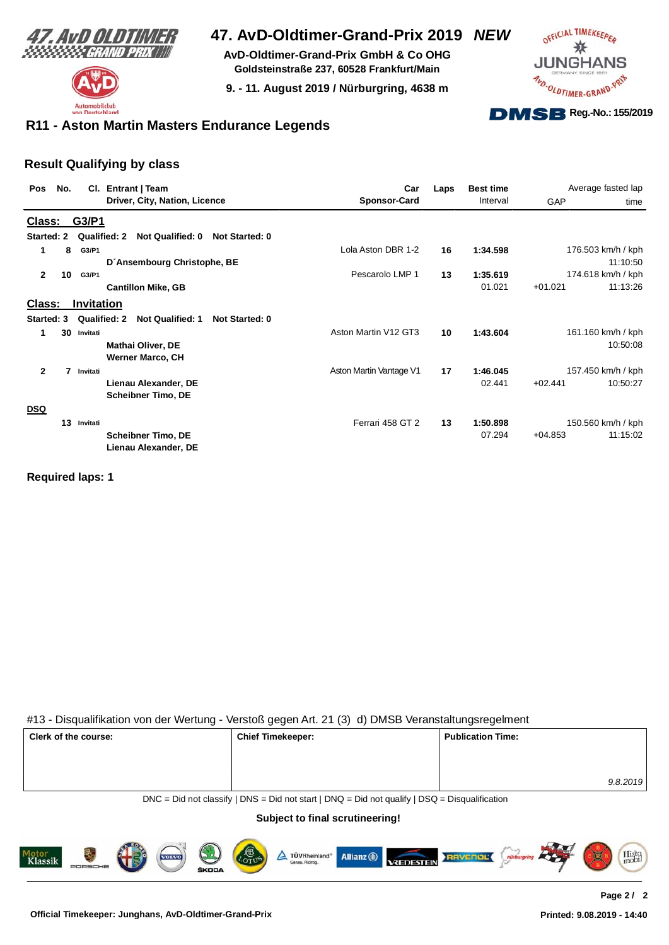



**AvD-Oldtimer-Grand-Prix GmbH & Co OHG Goldsteinstraße 237, 60528 Frankfurt/Main**

**9. - 11. August 2019 / Nürburgring, 4638 m**



### **R11 - Aston Martin Masters Endurance Legends**

#### **Result Qualifying by class**

| Pos            | No. |            | Cl. Entrant   Team                                               | Car                     | Laps | <b>Best time</b> |           | Average fasted lap |
|----------------|-----|------------|------------------------------------------------------------------|-------------------------|------|------------------|-----------|--------------------|
|                |     |            | Driver, City, Nation, Licence                                    | <b>Sponsor-Card</b>     |      | Interval         | GAP       | time               |
| Class:         |     | G3/P1      |                                                                  |                         |      |                  |           |                    |
| Started: 2     |     |            | Not Qualified: 0<br>Qualified: 2<br><b>Not Started: 0</b>        |                         |      |                  |           |                    |
| 1              | 8   | G3/P1      |                                                                  | Lola Aston DBR 1-2      | 16   | 1:34.598         |           | 176.503 km/h / kph |
|                |     |            | D'Ansembourg Christophe, BE                                      |                         |      |                  |           | 11:10:50           |
| $\mathbf{2}$   | 10  | G3/P1      |                                                                  | Pescarolo LMP 1         | 13   | 1:35.619         |           | 174.618 km/h / kph |
|                |     |            | <b>Cantillon Mike, GB</b>                                        |                         |      | 01.021           | $+01.021$ | 11:13:26           |
| Class:         |     | Invitation |                                                                  |                         |      |                  |           |                    |
| Started: 3     |     |            | Qualified: 2<br><b>Not Qualified: 1</b><br><b>Not Started: 0</b> |                         |      |                  |           |                    |
| 1              | 30  | Invitati   |                                                                  | Aston Martin V12 GT3    | 10   | 1:43.604         |           | 161.160 km/h / kph |
|                |     |            | <b>Mathai Oliver, DE</b>                                         |                         |      |                  |           | 10:50:08           |
|                |     |            | <b>Werner Marco, CH</b>                                          |                         |      |                  |           |                    |
| $\overline{2}$ | 7   | Invitati   |                                                                  | Aston Martin Vantage V1 | 17   | 1:46.045         |           | 157.450 km/h / kph |
|                |     |            | Lienau Alexander, DE                                             |                         |      | 02.441           | $+02.441$ | 10:50:27           |
|                |     |            | <b>Scheibner Timo, DE</b>                                        |                         |      |                  |           |                    |
| <b>DSQ</b>     |     |            |                                                                  |                         |      |                  |           |                    |
|                | 13  | Invitati   |                                                                  | Ferrari 458 GT 2        | 13   | 1:50.898         |           | 150.560 km/h / kph |
|                |     |            | <b>Scheibner Timo, DE</b><br>Lienau Alexander, DE                |                         |      | 07.294           | $+04.853$ | 11:15:02           |

#### **Required laps: 1**

#### #13 - Disqualifikation von der Wertung - Verstoß gegen Art. 21 (3) d) DMSB Veranstaltungsregelment

| Clerk of the course: | <b>Chief Timekeeper:</b> | <b>Publication Time:</b> |
|----------------------|--------------------------|--------------------------|
|                      |                          |                          |
|                      |                          | 9.8.2019                 |

DNC = Did not classify | DNS = Did not start | DNQ = Did not qualify | DSQ = Disqualification

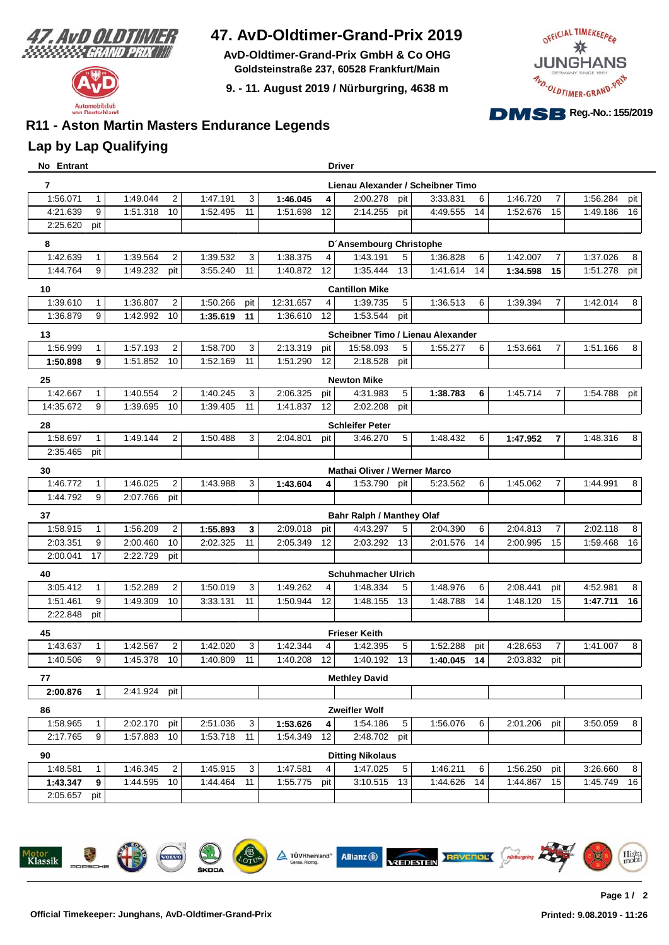

**AvD-Oldtimer-Grand-Prix GmbH & Co OHG Goldsteinstraße 237, 60528 Frankfurt/Main**

**9. - 11. August 2019 / Nürburgring, 4638 m**



# **R11 - Aston Martin Masters Endurance Legends**

### **Lap by Lap Qualifying**

| No Entrant |              |              |                 |          |     |           |                 | <b>Driver</b>                       |     |                                   |          |                |          |     |
|------------|--------------|--------------|-----------------|----------|-----|-----------|-----------------|-------------------------------------|-----|-----------------------------------|----------|----------------|----------|-----|
| 7          |              |              |                 |          |     |           |                 |                                     |     | Lienau Alexander / Scheibner Timo |          |                |          |     |
| 1:56.071   | $\mathbf{1}$ | 1:49.044     | $\overline{2}$  | 1:47.191 | 3   | 1:46.045  | 4               | 2:00.278                            | pit | 3:33.831<br>6                     | 1:46.720 | $\overline{7}$ | 1:56.284 | pit |
| 4:21.639   | 9            | 1:51.318     | 10              | 1:52.495 | 11  | 1:51.698  | 12              | 2:14.255                            | pit | 4:49.555<br>14                    | 1:52.676 | 15             | 1:49.186 | 16  |
| 2:25.620   | pit          |              |                 |          |     |           |                 |                                     |     |                                   |          |                |          |     |
| 8          |              |              |                 |          |     |           |                 | D'Ansembourg Christophe             |     |                                   |          |                |          |     |
| 1:42.639   | 1            | 1:39.564     | $\overline{2}$  | 1:39.532 | 3   | 1:38.375  | 4               | 1:43.191                            | 5   | 1:36.828<br>6                     | 1:42.007 | $\overline{7}$ | 1:37.026 | 8   |
| 1:44.764   | 9            | 1:49.232     | pit             | 3:55.240 | 11  | 1:40.872  | 12              | 1:35.444                            | 13  | 1:41.614<br>14                    | 1:34.598 | 15             | 1:51.278 | pit |
| 10         |              |              |                 |          |     |           |                 | <b>Cantillon Mike</b>               |     |                                   |          |                |          |     |
| 1:39.610   | $\mathbf{1}$ | 1:36.807     | $\overline{2}$  | 1:50.266 | pit | 12:31.657 | 4               | 1:39.735                            | 5   | 1:36.513<br>6                     | 1:39.394 | $\overline{7}$ | 1:42.014 | 8   |
| 1:36.879   | 9            | 1:42.992     | 10              | 1:35.619 | 11  | 1:36.610  | 12              | 1:53.544                            | pit |                                   |          |                |          |     |
| 13         |              |              |                 |          |     |           |                 |                                     |     | Scheibner Timo / Lienau Alexander |          |                |          |     |
| 1:56.999   | $\mathbf{1}$ | 1:57.193     | $\overline{2}$  | 1:58.700 | 3   | 2:13.319  | pit             | 15:58.093                           | 5   | 1:55.277<br>6                     | 1:53.661 | $\overline{7}$ | 1:51.166 | 8   |
| 1:50.898   | 9            | 1:51.852     | 10 <sup>1</sup> | 1:52.169 | 11  | 1:51.290  | 12              | 2:18.528                            | pit |                                   |          |                |          |     |
| 25         |              |              |                 |          |     |           |                 | Newton Mike                         |     |                                   |          |                |          |     |
| 1:42.667   | $\mathbf{1}$ | 1:40.554     | $\overline{2}$  | 1:40.245 | 3   | 2:06.325  | pit             | 4:31.983                            | 5   | 1:38.783<br>6                     | 1:45.714 | 7              | 1:54.788 | pit |
| 14:35.672  | 9            | 1:39.695     | 10 <sup>°</sup> | 1:39.405 | 11  | 1:41.837  | 12 <sup>°</sup> | 2:02.208                            | pit |                                   |          |                |          |     |
| 28         |              |              |                 |          |     |           |                 | <b>Schleifer Peter</b>              |     |                                   |          |                |          |     |
| 1:58.697   | $\mathbf{1}$ | 1:49.144     | $\overline{2}$  | 1:50.488 | 3   | 2:04.801  | pit             | 3:46.270                            | 5   | 1:48.432<br>6                     | 1:47.952 | $\overline{7}$ | 1:48.316 | 8   |
| 2:35.465   | pit          |              |                 |          |     |           |                 |                                     |     |                                   |          |                |          |     |
| 30         |              |              |                 |          |     |           |                 | <b>Mathai Oliver / Werner Marco</b> |     |                                   |          |                |          |     |
| 1:46.772   | $\mathbf{1}$ | 1:46.025     | $\overline{2}$  | 1:43.988 | 3   | 1:43.604  | 4               | 1:53.790                            | pit | 5:23.562<br>6                     | 1:45.062 | $\overline{7}$ | 1:44.991 | 8   |
| 1:44.792   | 9            | 2:07.766     | pit             |          |     |           |                 |                                     |     |                                   |          |                |          |     |
| 37         |              |              |                 |          |     |           |                 | <b>Bahr Ralph / Manthey Olaf</b>    |     |                                   |          |                |          |     |
| 1:58.915   | $\mathbf{1}$ | 1:56.209     | $\overline{c}$  | 1:55.893 | 3   | 2:09.018  | pit             | 4:43.297                            | 5   | 2:04.390<br>6                     | 2:04.813 | $\overline{7}$ | 2:02.118 | 8   |
| 2:03.351   | 9            | 2:00.460     | 10              | 2:02.325 | 11  | 2:05.349  | 12              | 2:03.292                            | 13  | 2:01.576<br>14                    | 2:00.995 | 15             | 1:59.468 | 16  |
| 2:00.041   | 17           | 2:22.729     | pit             |          |     |           |                 |                                     |     |                                   |          |                |          |     |
| 40         |              |              |                 |          |     |           |                 | <b>Schuhmacher Ulrich</b>           |     |                                   |          |                |          |     |
| 3:05.412   |              | 1:52.289     | $\overline{c}$  | 1:50.019 | 3   | 1:49.262  | 4               | 1:48.334                            | 5   | 1:48.976<br>6                     | 2:08.441 | pit            | 4:52.981 | 8   |
| 1:51.461   | 9            | 1:49.309     | 10              | 3:33.131 | 11  | 1:50.944  | 12              | 1:48.155                            | 13  | 1:48.788<br>14                    | 1:48.120 | 15             | 1:47.711 | 16  |
| 2:22.848   | pit          |              |                 |          |     |           |                 |                                     |     |                                   |          |                |          |     |
| 45         |              |              |                 |          |     |           |                 | <b>Frieser Keith</b>                |     |                                   |          |                |          |     |
| 1:43.637   | $\mathbf{1}$ | 1:42.567     | $\overline{c}$  | 1:42.020 | 3   | 1:42.344  | 4               | 1:42.395                            | 5   | 1:52.288<br>pit                   | 4:28.653 | $\overline{7}$ | 1:41.007 | 8   |
| 1:40.506   | 9            | 1:45.378     | 10              | 1:40.809 | 11  | 1:40.208  | 12              | 1:40.192                            | 13  | 1:40.045 14                       | 2:03.832 | pit            |          |     |
| 77         |              |              |                 |          |     |           |                 | <b>Methley David</b>                |     |                                   |          |                |          |     |
| 2:00.876   | 1            | 2:41.924 pit |                 |          |     |           |                 |                                     |     |                                   |          |                |          |     |
| 86         |              |              |                 |          |     |           |                 | Zweifler Wolf                       |     |                                   |          |                |          |     |
| 1:58.965   | $\mathbf{1}$ | 2:02.170     | pit             | 2:51.036 | 3   | 1:53.626  | 4               | 1:54.186                            | 5   | 1:56.076<br>6                     | 2:01.206 | pit            | 3:50.059 | 8   |
| 2:17.765   | 9            | 1:57.883     | 10              | 1:53.718 | 11  | 1:54.349  | 12              | 2:48.702                            | pit |                                   |          |                |          |     |
| 90         |              |              |                 |          |     |           |                 | <b>Ditting Nikolaus</b>             |     |                                   |          |                |          |     |
| 1:48.581   | $\mathbf{1}$ | 1:46.345     | $\overline{2}$  | 1:45.915 | 3   | 1:47.581  | 4               | 1:47.025                            | 5   | 1:46.211<br>6                     | 1:56.250 | pit            | 3:26.660 | 8   |
| 1:43.347   | 9            | 1:44.595     | 10              | 1:44.464 | 11  | 1:55.775  | pit             | 3:10.515                            | 13  | 1:44.626<br>14                    | 1:44.867 | 15             | 1:45.749 | 16  |
| 2:05.657   | pit          |              |                 |          |     |           |                 |                                     |     |                                   |          |                |          |     |

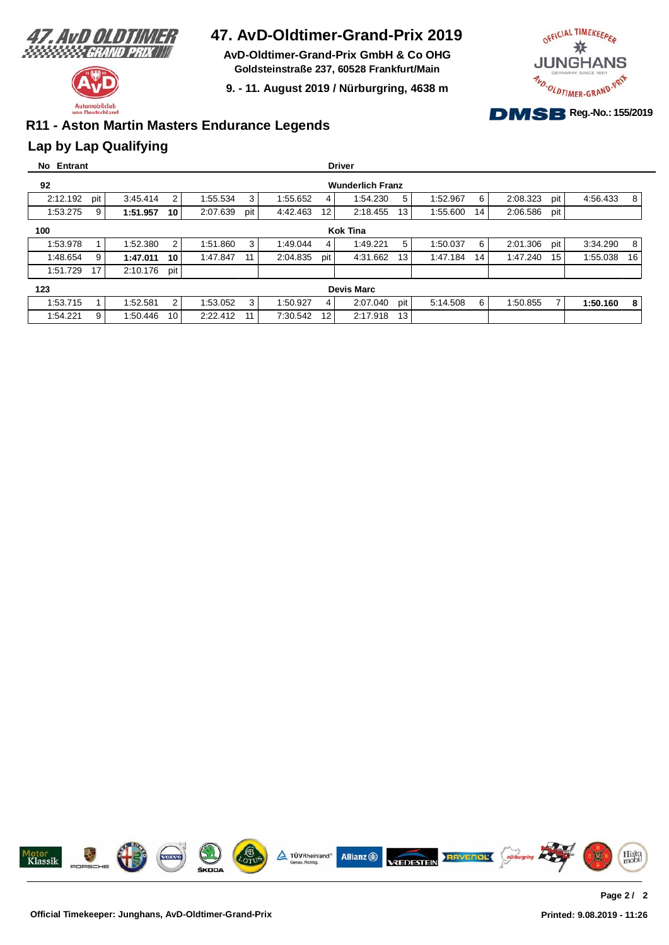

**AvD-Oldtimer-Grand-Prix GmbH & Co OHG Goldsteinstraße 237, 60528 Frankfurt/Main**

**9. - 11. August 2019 / Nürburgring, 4638 m**



# **R11 - Aston Martin Masters Endurance Legends**

### **Lap by Lap Qualifying**

| No Entrant |                   |                         |                |                 |                             | <b>Driver</b>   |                |                   |                |  |  |
|------------|-------------------|-------------------------|----------------|-----------------|-----------------------------|-----------------|----------------|-------------------|----------------|--|--|
| 92         |                   | <b>Wunderlich Franz</b> |                |                 |                             |                 |                |                   |                |  |  |
| 2:12.192   | pit               | 3:45.414                | $\overline{2}$ | 1:55.534<br>3   | 1:55.652<br>4               | 5<br>1:54.230   | 6<br>1:52.967  | 2:08.323<br>pit   | 4:56.433<br>8  |  |  |
| 1:53.275   | 9                 | 1:51.957                | 10             | 2:07.639<br>pit | 4:42.463<br>12 <sup>2</sup> | 2:18.455<br>13  | 1:55.600<br>14 | 2:06.586<br>pit   |                |  |  |
| 100        | <b>Kok Tina</b>   |                         |                |                 |                             |                 |                |                   |                |  |  |
| 1:53.978   |                   | 1:52.380                | $\overline{2}$ | 1:51.860<br>3   | 1:49.044<br>4               | 5<br>1:49.221   | 1:50.037<br>6  | pit  <br>2:01.306 | 3:34.290<br>8  |  |  |
| 1:48.654   | 9                 | 1:47.011                | 10             | 1:47.847<br>11  | 2:04.835<br>pit             | 4:31.662<br>13  | 1:47.184<br>14 | 15<br>1:47.240    | 1:55.038<br>16 |  |  |
| 1:51.729   | 17                | 2:10.176                | pit            |                 |                             |                 |                |                   |                |  |  |
| 123        | <b>Devis Marc</b> |                         |                |                 |                             |                 |                |                   |                |  |  |
| 1:53.715   |                   | 1:52.581                | $\overline{2}$ | 3<br>1:53.052   | 1:50.927<br>4               | pit<br>2:07.040 | 5:14.508<br>6  | 7<br>1:50.855     | 1:50.160<br>8  |  |  |
| 1:54.221   | 9                 | 1:50.446                | 10             | 2:22.412<br>11  | 12<br>7:30.542              | 13<br>2:17.918  |                |                   |                |  |  |

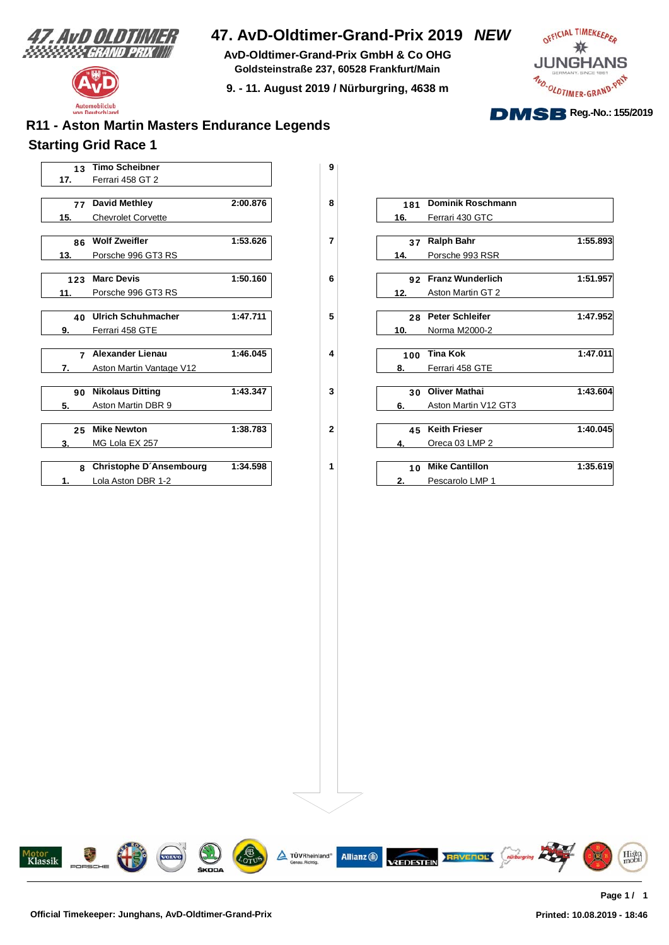

Automobilclub  $von<sub>n</sub>$ 

utschland

## **47. AvD-Oldtimer-Grand-Prix 2019** *NEW*

**AvD-Oldtimer-Grand-Prix GmbH & Co OHG Goldsteinstraße 237, 60528 Frankfurt/Main**

**9. - 11. August 2019 / Nürburgring, 4638 m**



# **Starting Grid Race 1 R11 - Aston Martin Masters Endurance Legends**

|     | 13 Timo Scheibner         |          | 9            |     |                          |
|-----|---------------------------|----------|--------------|-----|--------------------------|
| 17. | Ferrari 458 GT 2          |          |              |     |                          |
|     | 77 David Methley          | 2:00.876 | 8            | 181 | <b>Dominik Roschmann</b> |
|     |                           |          |              |     |                          |
| 15. | <b>Chevrolet Corvette</b> |          |              | 16. | Ferrari 430 GTC          |
|     | 86 Wolf Zweifler          | 1:53.626 | 7            |     | 37 Ralph Bahr            |
| 13. | Porsche 996 GT3 RS        |          |              | 14. | Porsche 993 RSR          |
|     |                           |          |              |     |                          |
| 123 | <b>Marc Devis</b>         | 1:50.160 | 6            |     | 92 Franz Wunderlich      |
| 11. | Porsche 996 GT3 RS        |          |              | 12. | Aston Martin GT 2        |
|     | 40 Ulrich Schuhmacher     | 1:47.711 | 5            |     | 28 Peter Schleifer       |
| 9.  | Ferrari 458 GTE           |          |              | 10. | Norma M2000-2            |
|     |                           |          |              |     |                          |
|     | 7 Alexander Lienau        | 1:46.045 | 4            | 100 | <b>Tina Kok</b>          |
| 7.  | Aston Martin Vantage V12  |          |              | 8.  | Ferrari 458 GTE          |
|     | 90 Nikolaus Ditting       | 1:43.347 | 3            |     | 30 Oliver Mathai         |
| 5.  | Aston Martin DBR 9        |          |              | 6.  | Aston Martin V12 GT3     |
|     |                           |          |              |     |                          |
| 25  | <b>Mike Newton</b>        | 1:38.783 | $\mathbf{2}$ |     | 45 Keith Frieser         |
| 3.  | MG Lola EX 257            |          |              | 4.  | Oreca 03 LMP 2           |
|     |                           | 1:34.598 |              |     | 10 Mike Cantillon        |
|     | 8 Christophe D'Ansembourg |          | 1            |     |                          |
|     | Lola Aston DBR 1-2        |          |              | 2.  | Pescarolo LMP 1          |

| 77  | David Methley                  | 2:00.876 | 8 | 181 | Dominik Roschmann       |          |
|-----|--------------------------------|----------|---|-----|-------------------------|----------|
|     | <b>Chevrolet Corvette</b>      |          |   | 16. | Ferrari 430 GTC         |          |
|     |                                |          |   |     |                         |          |
|     | 86 Wolf Zweifler               | 1:53.626 | 7 | 37  | <b>Ralph Bahr</b>       | 1:55.893 |
|     | Porsche 996 GT3 RS             |          |   | 14. | Porsche 993 RSR         |          |
| 123 | <b>Marc Devis</b>              | 1:50.160 | 6 | 92  | <b>Franz Wunderlich</b> | 1:51.957 |
|     | Porsche 996 GT3 RS             |          |   | 12. | Aston Martin GT 2       |          |
|     |                                |          |   |     |                         |          |
| 40  | Ulrich Schuhmacher             | 1:47.711 | 5 | 28  | <b>Peter Schleifer</b>  | 1:47.952 |
|     | Ferrari 458 GTE                |          |   | 10. | Norma M2000-2           |          |
|     | 7 Alexander Lienau             | 1:46.045 | 4 | 100 | Tina Kok                | 1:47.011 |
|     | Aston Martin Vantage V12       |          |   | 8.  | Ferrari 458 GTE         |          |
|     |                                |          |   |     |                         |          |
|     | 90 Nikolaus Ditting            | 1:43.347 | 3 | 30  | <b>Oliver Mathai</b>    | 1:43.604 |
|     | Aston Martin DBR 9             |          |   | 6.  | Aston Martin V12 GT3    |          |
|     |                                |          |   |     |                         |          |
| 25  | <b>Mike Newton</b>             | 1:38.783 | 2 | 45  | <b>Keith Frieser</b>    | 1:40.045 |
|     | MG Lola EX 257                 |          |   | 4   | Oreca 03 LMP 2          |          |
| 8   | <b>Christophe D'Ansembourg</b> | 1:34.598 | 1 | 10  | <b>Mike Cantillon</b>   | 1:35.619 |
|     | Lola Aston DBR 1-2             |          |   | 2.  | Pescarolo LMP 1         |          |

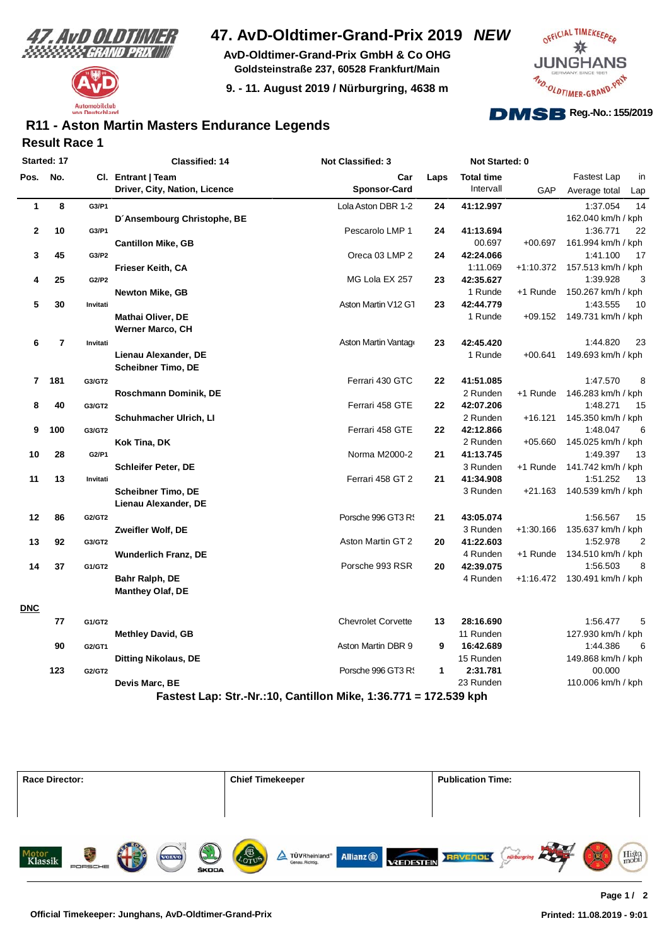



**AvD-Oldtimer-Grand-Prix GmbH & Co OHG Goldsteinstraße 237, 60528 Frankfurt/Main**

**9. - 11. August 2019 / Nürburgring, 4638 m**



#### **Result Race 1 R11 - Aston Martin Masters Endurance Legends**

| Pos.<br>$\mathbf{1}$<br>$\mathbf 2$<br>3<br>4 | No.<br>8<br>10<br>45<br>25          | Cl. Entrant   Team<br>G3/P1<br>G3/P1<br>G3/P2 | Driver, City, Nation, Licence<br>D'Ansembourg Christophe, BE<br><b>Cantillon Mike, GB</b> | Car<br><b>Sponsor-Card</b><br>Lola Aston DBR 1-2<br>Pescarolo LMP 1 | Laps<br>24 | <b>Total time</b><br>Intervall<br>41:12.997 | GAP         | Fastest Lap<br>in<br>Average total<br>Lap<br>14<br>1:37.054 |
|-----------------------------------------------|-------------------------------------|-----------------------------------------------|-------------------------------------------------------------------------------------------|---------------------------------------------------------------------|------------|---------------------------------------------|-------------|-------------------------------------------------------------|
|                                               |                                     |                                               |                                                                                           |                                                                     |            |                                             |             |                                                             |
|                                               |                                     |                                               |                                                                                           |                                                                     |            |                                             |             |                                                             |
|                                               |                                     |                                               |                                                                                           |                                                                     |            |                                             |             |                                                             |
|                                               |                                     |                                               |                                                                                           |                                                                     |            |                                             |             | 162.040 km/h / kph                                          |
|                                               |                                     |                                               |                                                                                           |                                                                     | 24         | 41:13.694                                   |             | 22<br>1:36.771                                              |
|                                               |                                     |                                               |                                                                                           |                                                                     |            | 00.697                                      | $+00.697$   | 161.994 km/h / kph                                          |
|                                               |                                     |                                               |                                                                                           | Oreca 03 LMP 2                                                      | 24         | 42:24.066                                   |             | 1:41.100<br>17                                              |
|                                               |                                     |                                               | Frieser Keith, CA                                                                         |                                                                     |            | 1:11.069                                    |             | +1:10.372 157.513 km/h / kph                                |
|                                               |                                     | G2/P2                                         |                                                                                           | MG Lola EX 257                                                      | 23         | 42:35.627                                   |             | 1:39.928<br>3                                               |
|                                               |                                     |                                               | <b>Newton Mike, GB</b>                                                                    |                                                                     |            | 1 Runde                                     | +1 Runde    | 150.267 km/h / kph                                          |
| 5                                             | 30<br>Invitati                      |                                               |                                                                                           | Aston Martin V12 G1                                                 | 23         | 42:44.779                                   |             | 1:43.555<br>10                                              |
|                                               |                                     |                                               | <b>Mathai Oliver, DE</b>                                                                  |                                                                     |            | 1 Runde                                     |             | +09.152 149.731 km/h / kph                                  |
|                                               |                                     |                                               | <b>Werner Marco, CH</b>                                                                   |                                                                     |            |                                             |             |                                                             |
| 6                                             | $\overline{\mathbf{r}}$<br>Invitati |                                               |                                                                                           | Aston Martin Vantage                                                | 23         | 42:45.420                                   |             | 1:44.820<br>23                                              |
|                                               |                                     |                                               | Lienau Alexander, DE                                                                      |                                                                     |            | 1 Runde                                     | $+00.641$   | 149.693 km/h / kph                                          |
|                                               |                                     |                                               | <b>Scheibner Timo, DE</b>                                                                 |                                                                     |            |                                             |             |                                                             |
| $\overline{7}$                                | 181<br>G3/GT2                       |                                               |                                                                                           | Ferrari 430 GTC                                                     | 22         | 41:51.085                                   |             | 1:47.570<br>8                                               |
|                                               |                                     |                                               | Roschmann Dominik, DE                                                                     |                                                                     |            | 2 Runden                                    | +1 Runde    | 146.283 km/h / kph                                          |
| 8                                             | 40<br>G3/GT2                        |                                               |                                                                                           | Ferrari 458 GTE                                                     | 22         | 42:07.206                                   |             | 1:48.271<br>15                                              |
|                                               |                                     |                                               | Schuhmacher Ulrich, LI                                                                    |                                                                     |            | 2 Runden                                    | $+16.121$   | 145.350 km/h / kph                                          |
| 9                                             | 100<br>G3/GT2                       |                                               |                                                                                           | Ferrari 458 GTE                                                     | 22         | 42:12.866                                   |             | 1:48.047<br>6                                               |
|                                               |                                     |                                               | Kok Tina, DK                                                                              |                                                                     |            | 2 Runden                                    | +05.660     | 145.025 km/h / kph                                          |
| 10                                            | 28<br>G2/P1                         |                                               |                                                                                           | Norma M2000-2                                                       | 21         | 41:13.745                                   |             | 1:49.397<br>13                                              |
|                                               |                                     |                                               | <b>Schleifer Peter, DE</b>                                                                |                                                                     |            | 3 Runden                                    | $+1$ Runde  | 141.742 km/h / kph                                          |
| 11                                            | 13<br>Invitati                      |                                               |                                                                                           | Ferrari 458 GT 2                                                    | 21         | 41:34.908                                   |             | 1:51.252<br>13                                              |
|                                               |                                     |                                               | <b>Scheibner Timo, DE</b>                                                                 |                                                                     |            | 3 Runden                                    | +21.163     | 140.539 km/h / kph                                          |
|                                               |                                     |                                               | Lienau Alexander, DE                                                                      |                                                                     |            |                                             |             |                                                             |
| 12                                            | 86<br>G2/GT2                        |                                               |                                                                                           | Porsche 996 GT3 R!                                                  | 21         | 43:05.074                                   |             | 1:56.567<br>15                                              |
|                                               |                                     |                                               | Zweifler Wolf, DE                                                                         |                                                                     |            | 3 Runden                                    | $+1:30.166$ | 135.637 km/h / kph                                          |
| 13                                            | 92<br>G3/GT2                        |                                               |                                                                                           | Aston Martin GT 2                                                   | 20         | 41:22.603                                   |             | 1:52.978<br>$\overline{2}$                                  |
|                                               |                                     |                                               | <b>Wunderlich Franz, DE</b>                                                               |                                                                     |            | 4 Runden                                    | +1 Runde    | 134.510 km/h / kph                                          |
| 14                                            | 37<br>G1/GT2                        |                                               |                                                                                           | Porsche 993 RSR                                                     | 20         | 42:39.075                                   |             | 1:56.503<br>8                                               |
|                                               |                                     |                                               | Bahr Ralph, DE                                                                            |                                                                     |            | 4 Runden                                    |             | +1:16.472 130.491 km/h / kph                                |
|                                               |                                     |                                               | <b>Manthey Olaf, DE</b>                                                                   |                                                                     |            |                                             |             |                                                             |
| <b>DNC</b>                                    |                                     |                                               |                                                                                           |                                                                     |            |                                             |             |                                                             |
|                                               | 77<br>G1/GT2                        |                                               |                                                                                           | <b>Chevrolet Corvette</b>                                           | 13         | 28:16.690                                   |             | 1:56.477<br>5                                               |
|                                               |                                     |                                               | <b>Methley David, GB</b>                                                                  |                                                                     |            | 11 Runden                                   |             | 127.930 km/h / kph                                          |
|                                               | 90<br>G2/GT1                        |                                               |                                                                                           | Aston Martin DBR 9                                                  | 9          | 16:42.689                                   |             | 1:44.386<br>6                                               |
|                                               |                                     |                                               | Ditting Nikolaus, DE                                                                      |                                                                     |            | 15 Runden                                   |             | 149.868 km/h / kph                                          |
|                                               | 123<br>G2/GT2                       |                                               |                                                                                           | Porsche 996 GT3 R.                                                  | 1          | 2:31.781                                    |             | 00.000                                                      |
|                                               |                                     |                                               | Devis Marc, BE                                                                            |                                                                     |            | 23 Runden                                   |             | 110.006 km/h / kph                                          |
|                                               |                                     |                                               |                                                                                           | Fastest Lap: Str.-Nr.:10, Cantillon Mike, 1:36.771 = 172.539 kph    |            |                                             |             |                                                             |

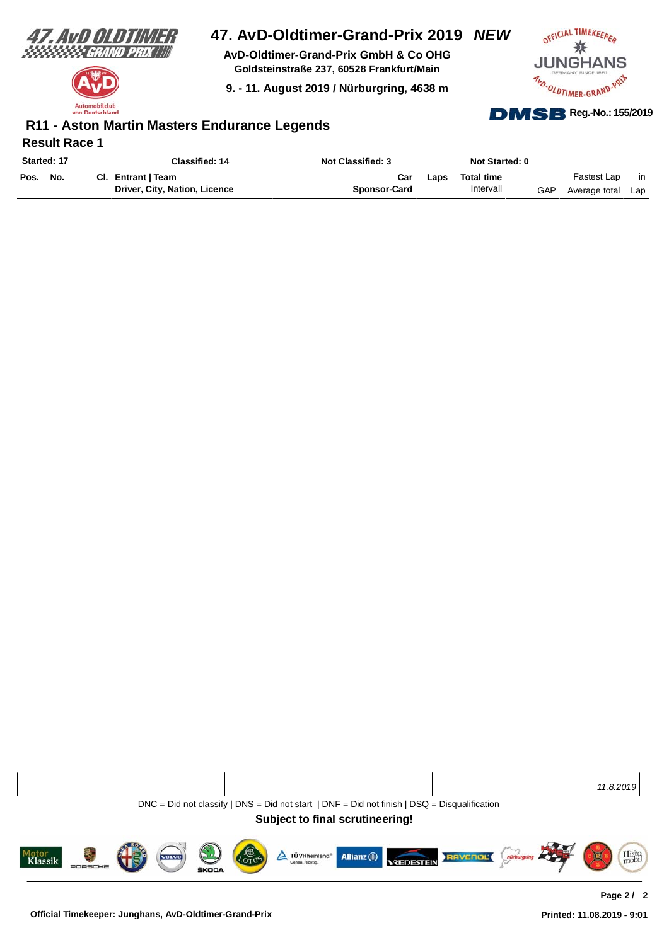

Automobilclub utschland

# **47. AvD-Oldtimer-Grand-Prix 2019** *NEW*

**AvD-Oldtimer-Grand-Prix GmbH & Co OHG Goldsteinstraße 237, 60528 Frankfurt/Main**

**9. - 11. August 2019 / Nürburgring, 4638 m**



#### **Result Race 1 R11 - Aston Martin Masters Endurance Legends**

| Started: 17 |     | Classified: 14                | <b>Not Classified: 3</b> |      | Not Started: 0    |      |               |     |
|-------------|-----|-------------------------------|--------------------------|------|-------------------|------|---------------|-----|
| Pos.        | No. | Cl. Entrant   Team            | Car                      | Laps | <b>Total time</b> |      | Fastest Lap   | in. |
|             |     | Driver, City, Nation, Licence | <b>Sponsor-Card</b>      |      | Intervall         | GAP. | Average total | Lap |

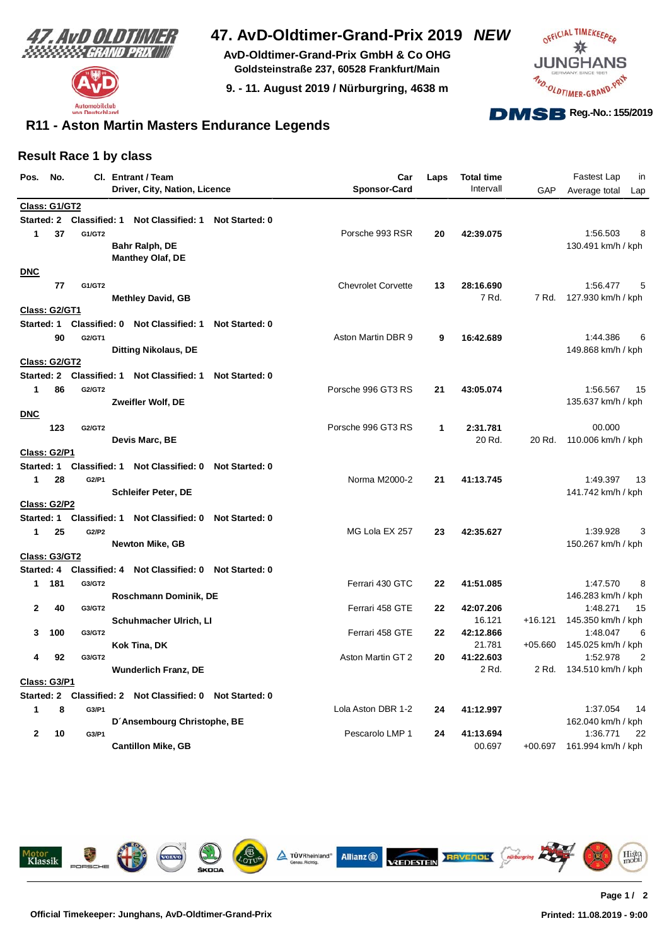



**AvD-Oldtimer-Grand-Prix GmbH & Co OHG Goldsteinstraße 237, 60528 Frankfurt/Main**

**9. - 11. August 2019 / Nürburgring, 4638 m**



#### **R11 - Aston Martin Masters Endurance Legends**

#### **Result Race 1 by class**

| Pos.                 | No. |                      | CI. Entrant / Team<br>Driver, City, Nation, Licence       |                       | Car<br><b>Sponsor-Card</b> | Laps | <b>Total time</b><br>Intervall | GAP       | Fastest Lap<br>in<br>Average total<br>Lap |
|----------------------|-----|----------------------|-----------------------------------------------------------|-----------------------|----------------------------|------|--------------------------------|-----------|-------------------------------------------|
| Class: G1/GT2        |     |                      |                                                           |                       |                            |      |                                |           |                                           |
|                      |     |                      | Started: 2 Classified: 1 Not Classified: 1                | <b>Not Started: 0</b> |                            |      |                                |           |                                           |
| 1                    | 37  | G1/GT2               |                                                           |                       | Porsche 993 RSR            | 20   | 42:39.075                      |           | 1:56.503<br>8                             |
|                      |     |                      | Bahr Ralph, DE                                            |                       |                            |      |                                |           | 130.491 km/h / kph                        |
|                      |     |                      | <b>Manthey Olaf, DE</b>                                   |                       |                            |      |                                |           |                                           |
| <b>DNC</b>           |     |                      |                                                           |                       |                            |      |                                |           |                                           |
|                      | 77  | G1/GT2               |                                                           |                       | <b>Chevrolet Corvette</b>  | 13   | 28:16.690                      |           | 1:56.477                                  |
|                      |     |                      | <b>Methley David, GB</b>                                  |                       |                            |      | 7 Rd.                          |           | 7 Rd. 127.930 km/h / kph                  |
| Class: G2/GT1        |     |                      |                                                           |                       |                            |      |                                |           |                                           |
| Started: 1           |     |                      | Classified: 0 Not Classified: 1                           | <b>Not Started: 0</b> |                            |      |                                |           |                                           |
|                      | 90  | G2/GT1               |                                                           |                       | Aston Martin DBR 9         | 9    | 16:42.689                      |           | 1:44.386<br>6                             |
|                      |     |                      | <b>Ditting Nikolaus, DE</b>                               |                       |                            |      |                                |           | 149.868 km/h / kph                        |
| <b>Class: G2/GT2</b> |     |                      |                                                           |                       |                            |      |                                |           |                                           |
|                      |     |                      | Started: 2 Classified: 1 Not Classified: 1                | <b>Not Started: 0</b> |                            |      |                                |           |                                           |
| 1                    | 86  | G2/GT2               |                                                           |                       | Porsche 996 GT3 RS         | 21   | 43:05.074                      |           | 1:56.567<br>15                            |
|                      |     |                      | Zweifler Wolf, DE                                         |                       |                            |      |                                |           | 135.637 km/h / kph                        |
| <b>DNC</b>           |     |                      |                                                           |                       |                            |      |                                |           |                                           |
|                      | 123 | G2/GT2               |                                                           |                       | Porsche 996 GT3 RS         | 1    | 2:31.781                       |           | 00.000                                    |
|                      |     |                      | Devis Marc, BE                                            |                       |                            |      | 20 Rd.                         | 20 Rd.    | 110.006 km/h / kph                        |
| <b>Class: G2/P1</b>  |     |                      |                                                           |                       |                            |      |                                |           |                                           |
| Started: 1           |     | <b>Classified: 1</b> | Not Classified: 0 Not Started: 0                          |                       |                            |      |                                |           |                                           |
| 1                    | 28  | G2/P1                |                                                           |                       | Norma M2000-2              | 21   | 41:13.745                      |           | 1:49.397<br>13                            |
|                      |     |                      | <b>Schleifer Peter, DE</b>                                |                       |                            |      |                                |           | 141.742 km/h / kph                        |
| Class: G2/P2         |     |                      |                                                           |                       |                            |      |                                |           |                                           |
| Started: 1           |     |                      | Classified: 1 Not Classified: 0                           | Not Started: 0        |                            |      |                                |           |                                           |
| 1                    | 25  | G2/P2                |                                                           |                       | MG Lola EX 257             | 23   | 42:35.627                      |           | 1:39.928<br>З                             |
|                      |     |                      | <b>Newton Mike, GB</b>                                    |                       |                            |      |                                |           | 150.267 km/h / kph                        |
| Class: G3/GT2        |     |                      |                                                           |                       |                            |      |                                |           |                                           |
|                      |     |                      | Started: 4 Classified: 4 Not Classified: 0 Not Started: 0 |                       |                            |      |                                |           |                                           |
| $\mathbf 1$          | 181 | G3/GT2               |                                                           |                       | Ferrari 430 GTC            | 22   | 41:51.085                      |           | 1:47.570<br>8                             |
|                      |     | G3/GT2               | Roschmann Dominik, DE                                     |                       |                            | 22   |                                |           | 146.283 km/h / kph                        |
| 2                    | 40  |                      | Schuhmacher Ulrich, Ll                                    |                       | Ferrari 458 GTE            |      | 42:07.206<br>16.121            | +16.121   | 1:48.271<br>15<br>145.350 km/h / kph      |
| 3                    | 100 | G3/GT2               |                                                           |                       | Ferrari 458 GTE            | 22   | 42:12.866                      |           | 1:48.047<br>6                             |
|                      |     |                      | Kok Tina, DK                                              |                       |                            |      | 21.781                         | $+05.660$ | 145.025 km/h / kph                        |
| 4                    | 92  | G3/GT2               |                                                           |                       | Aston Martin GT 2          | 20   | 41:22.603                      |           | 1:52.978<br>2                             |
|                      |     |                      | <b>Wunderlich Franz, DE</b>                               |                       |                            |      | 2 Rd.                          | 2 Rd.     | 134.510 km/h / kph                        |
| <b>Class: G3/P1</b>  |     |                      |                                                           |                       |                            |      |                                |           |                                           |
| Started: 2           |     |                      | Classified: 2 Not Classified: 0 Not Started: 0            |                       |                            |      |                                |           |                                           |
| 1                    | 8   | G3/P1                |                                                           |                       | Lola Aston DBR 1-2         | 24   | 41:12.997                      |           | 1:37.054<br>14                            |
|                      |     |                      | D'Ansembourg Christophe, BE                               |                       |                            |      |                                |           | 162.040 km/h / kph                        |
| $\mathbf{2}$         | 10  | G3/P1                |                                                           |                       | Pescarolo LMP 1            | 24   | 41:13.694                      |           | 1:36.771<br>22                            |
|                      |     |                      | <b>Cantillon Mike, GB</b>                                 |                       |                            |      | 00.697                         | $+00.697$ | 161.994 km/h / kph                        |
|                      |     |                      |                                                           |                       |                            |      |                                |           |                                           |

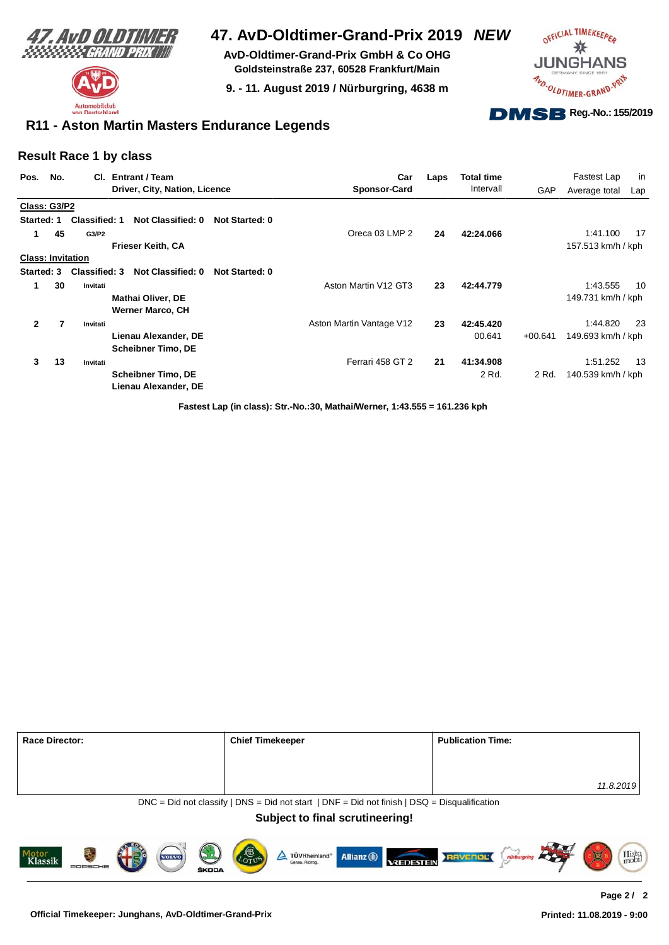



**AvD-Oldtimer-Grand-Prix GmbH & Co OHG Goldsteinstraße 237, 60528 Frankfurt/Main**

**9. - 11. August 2019 / Nürburgring, 4638 m**



#### **R11 - Aston Martin Masters Endurance Legends**

#### **Result Race 1 by class**

| Pos.<br>No.              |    | CI.                  | <b>Entrant / Team</b>                               |                       | Car                      | Laps | <b>Total time</b> |           | Fastest Lap        | in  |
|--------------------------|----|----------------------|-----------------------------------------------------|-----------------------|--------------------------|------|-------------------|-----------|--------------------|-----|
|                          |    |                      | Driver, City, Nation, Licence                       |                       | <b>Sponsor-Card</b>      |      | Intervall         | GAP       | Average total      | Lap |
| Class: G3/P2             |    |                      |                                                     |                       |                          |      |                   |           |                    |     |
| Started: 1               |    | <b>Classified: 1</b> | Not Classified: 0                                   | <b>Not Started: 0</b> |                          |      |                   |           |                    |     |
| 1                        | 45 | G3/P2                |                                                     |                       | Oreca 03 LMP 2           | 24   | 42:24.066         |           | 1:41.100           | 17  |
|                          |    |                      | Frieser Keith, CA                                   |                       |                          |      |                   |           | 157.513 km/h / kph |     |
| <b>Class: Invitation</b> |    |                      |                                                     |                       |                          |      |                   |           |                    |     |
| Started: 3               |    | <b>Classified: 3</b> | Not Classified: 0                                   | Not Started: 0        |                          |      |                   |           |                    |     |
| 1                        | 30 | Invitati             |                                                     |                       | Aston Martin V12 GT3     | 23   | 42:44.779         |           | 1:43.555           | 10  |
|                          |    |                      | <b>Mathai Oliver, DE</b><br><b>Werner Marco, CH</b> |                       |                          |      |                   |           | 149.731 km/h / kph |     |
| $\mathbf{2}$             | 7  | Invitati             |                                                     |                       | Aston Martin Vantage V12 | 23   | 42:45.420         |           | 1:44.820           | 23  |
|                          |    |                      | Lienau Alexander, DE                                |                       |                          |      | 00.641            | $+00.641$ | 149.693 km/h / kph |     |
|                          |    |                      | <b>Scheibner Timo, DE</b>                           |                       |                          |      |                   |           |                    |     |
| 3                        | 13 | Invitati             |                                                     |                       | Ferrari 458 GT 2         | 21   | 41:34.908         |           | 1:51.252           | 13  |
|                          |    |                      | <b>Scheibner Timo, DE</b><br>Lienau Alexander, DE   |                       |                          |      | 2 Rd.             | 2 Rd.     | 140.539 km/h / kph |     |

**Fastest Lap (in class): Str.-No.:30, Mathai/Werner, 1:43.555 = 161.236 kph**

| <b>Race Director:</b>                            | <b>Chief Timekeeper</b>                                                                        | <b>Publication Time:</b> |  |
|--------------------------------------------------|------------------------------------------------------------------------------------------------|--------------------------|--|
|                                                  |                                                                                                |                          |  |
|                                                  |                                                                                                | 11.8.2019                |  |
|                                                  | $DNC = Did$ not classify   DNS = Did not start   DNF = Did not finish   DSQ = Disqualification |                          |  |
|                                                  | <b>Subject to final scrutineering!</b>                                                         |                          |  |
|                                                  |                                                                                                |                          |  |
| Motor<br>Klassik<br><b>VOLVO</b><br><b>ŠKODA</b> | COTUS<br>Allianz (ii)<br>TÜVRheinland®<br><b>VREDESTEIN</b><br>Genau, Richtig.                 | Histo<br><b>RAVENOL</b>  |  |

ŠKODA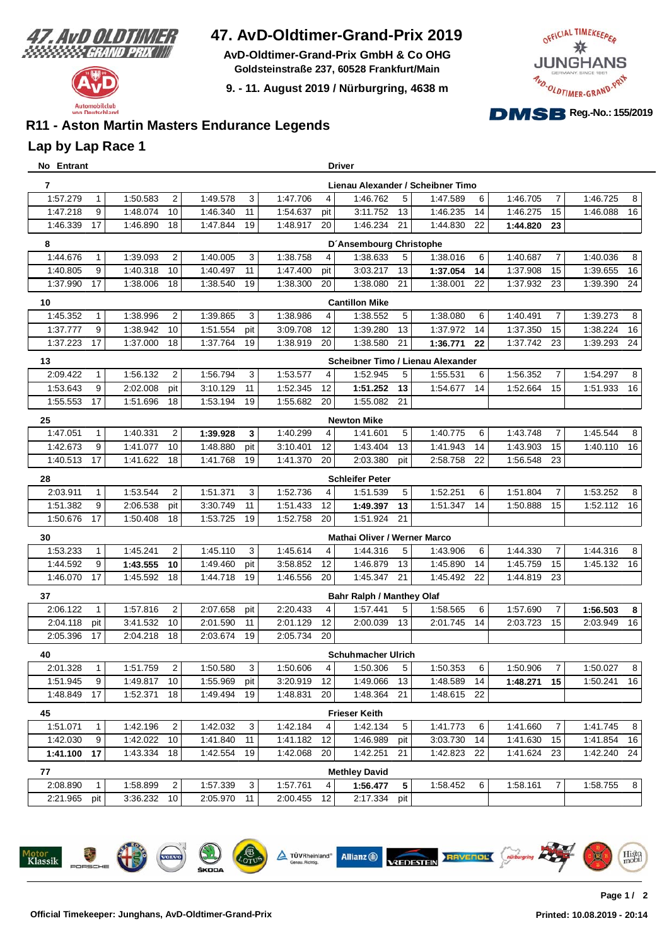

Automobilclub von Deutschland

## **47. AvD-Oldtimer-Grand-Prix 2019**

**AvD-Oldtimer-Grand-Prix GmbH & Co OHG Goldsteinstraße 237, 60528 Frankfurt/Main**

**9. - 11. August 2019 / Nürburgring, 4638 m**



### **R11 - Aston Martin Masters Endurance Legends**

#### **Lap by Lap Race 1**

| No Entrant |              |          |                |          |     |          |                | <b>Driver</b>                       |            |                                   |          |                |          |    |
|------------|--------------|----------|----------------|----------|-----|----------|----------------|-------------------------------------|------------|-----------------------------------|----------|----------------|----------|----|
| 7          |              |          |                |          |     |          |                |                                     |            | Lienau Alexander / Scheibner Timo |          |                |          |    |
| 1:57.279   | $\mathbf{1}$ | 1:50.583 | $\overline{2}$ | 1:49.578 | 3   | 1:47.706 | 4              | 1:46.762                            | 5          | 1:47.589<br>6                     | 1:46.705 | $\overline{7}$ | 1:46.725 | 8  |
| 1:47.218   | 9            | 1:48.074 | 10             | 1:46.340 | 11  | 1:54.637 | pit            | 3:11.752                            | 13         | 1:46.235<br>14                    | 1:46.275 | 15             | 1:46.088 | 16 |
| 1:46.339   | 17           | 1:46.890 | 18             | 1:47.844 | 19  | 1:48.917 | 20             | 1:46.234                            | 21         | 1:44.830<br>22                    | 1:44.820 | 23             |          |    |
| 8          |              |          |                |          |     |          |                | D'Ansembourg Christophe             |            |                                   |          |                |          |    |
| 1:44.676   | $\mathbf 1$  | 1:39.093 | $\overline{2}$ | 1:40.005 | 3   | 1:38.758 | 4              | 1:38.633                            | 5          | 6<br>1:38.016                     | 1:40.687 | $\overline{7}$ | 1:40.036 | 8  |
| 1:40.805   | 9            | 1:40.318 | 10             | 1:40.497 | 11  | 1:47.400 | pit            | 3:03.217                            | 13         | 14<br>1:37.054                    | 1:37.908 | 15             | 1:39.655 | 16 |
| 1:37.990   | 17           | 1:38.006 | 18             | 1:38.540 | 19  | 1:38.300 | 20             | 1:38.080                            | 21         | 1:38.001<br>22                    | 1:37.932 | 23             | 1:39.390 | 24 |
| 10         |              |          |                |          |     |          |                | <b>Cantillon Mike</b>               |            |                                   |          |                |          |    |
| 1:45.352   | 1            | 1:38.996 | $\overline{c}$ | 1:39.865 | 3   | 1:38.986 | $\overline{4}$ | 1:38.552                            | 5          | 1:38.080<br>6                     | 1:40.491 | $\overline{7}$ | 1:39.273 | 8  |
| 1:37.777   | 9            | 1:38.942 | 10             | 1:51.554 | pit | 3:09.708 | 12             | 1:39.280                            | 13         | 1:37.972<br>14                    | 1:37.350 | 15             | 1:38.224 | 16 |
| 1:37.223   | 17           | 1:37.000 | 18             | 1:37.764 | 19  | 1:38.919 | 20             | 1:38.580                            | 21         | 1:36.771<br>22                    | 1:37.742 | 23             | 1:39.293 | 24 |
| 13         |              |          |                |          |     |          |                |                                     |            | Scheibner Timo / Lienau Alexander |          |                |          |    |
| 2:09.422   | $\mathbf{1}$ | 1:56.132 | $\overline{2}$ | 1:56.794 | 3   | 1:53.577 | 4              | 1:52.945                            | 5          | 6<br>1:55.531                     | 1:56.352 | $\overline{7}$ | 1:54.297 | 8  |
| 1:53.643   | 9            | 2:02.008 | pit            | 3:10.129 | 11  | 1:52.345 | 12             | 1:51.252                            | 13         | 14<br>1:54.677                    | 1:52.664 | 15             | 1:51.933 | 16 |
| 1:55.553   | 17           | 1:51.696 | 18             | 1:53.194 | 19  | 1:55.682 | 20             | 1:55.082                            | 21         |                                   |          |                |          |    |
| 25         |              |          |                |          |     |          |                | <b>Newton Mike</b>                  |            |                                   |          |                |          |    |
| 1:47.051   | $\mathbf{1}$ | 1:40.331 | $\overline{2}$ | 1:39.928 | 3   | 1:40.299 | 4              | 1:41.601                            | 5          | 1:40.775<br>6                     | 1:43.748 | 7              | 1:45.544 | 8  |
| 1:42.673   | 9            | 1:41.077 | 10             | 1:48.880 | pit | 3:10.401 | 12             | 1:43.404                            | 13         | 1:41.943<br>14                    | 1:43.903 | 15             | 1:40.110 | 16 |
| 1:40.513   | 17           | 1:41.622 | 18             | 1:41.768 | 19  | 1:41.370 | 20             | 2:03.380                            | pit        | 2:58.758<br>22                    | 1:56.548 | 23             |          |    |
| 28         |              |          |                |          |     |          |                | <b>Schleifer Peter</b>              |            |                                   |          |                |          |    |
| 2:03.911   |              | 1:53.544 | $\overline{2}$ | 1:51.371 | 3   | 1:52.736 | 4              | 1:51.539                            | 5          | 1:52.251<br>6                     | 1:51.804 | $\overline{7}$ | 1:53.252 | 8  |
| 1:51.382   | 9            | 2:06.538 | pit            | 3:30.749 | 11  | 1:51.433 | 12             | 1:49.397                            | 13         | 14<br>1:51.347                    | 1:50.888 | 15             | 1:52.112 | 16 |
| 1:50.676   | 17           | 1:50.408 | 18             | 1:53.725 | 19  | 1:52.758 | 20             | 1:51.924                            | 21         |                                   |          |                |          |    |
| 30         |              |          |                |          |     |          |                | <b>Mathai Oliver / Werner Marco</b> |            |                                   |          |                |          |    |
| 1:53.233   | $\mathbf{1}$ | 1:45.241 | $\overline{2}$ | 1:45.110 | 3   | 1:45.614 | 4              | 1:44.316                            | 5          | 6<br>1:43.906                     | 1:44.330 | $\overline{7}$ | 1:44.316 | 8  |
| 1:44.592   | 9            | 1:43.555 | 10             | 1:49.460 | pit | 3:58.852 | 12             | 1:46.879                            | 13         | 1:45.890<br>14                    | 1:45.759 | 15             | 1:45.132 | 16 |
| 1:46.070   | 17           | 1:45.592 | 18             | 1:44.718 | 19  | 1:46.556 | 20             | 1:45.347                            | 21         | 1:45.492<br>22                    | 1:44.819 | 23             |          |    |
| 37         |              |          |                |          |     |          |                | <b>Bahr Ralph / Manthey Olaf</b>    |            |                                   |          |                |          |    |
| 2:06.122   | $\mathbf{1}$ | 1:57.816 | $\overline{2}$ | 2:07.658 | pit | 2:20.433 | 4              | 1:57.441                            | 5          | 1:58.565<br>6                     | 1:57.690 | $\overline{7}$ | 1:56.503 | 8  |
| 2:04.118   | pit          | 3:41.532 | 10             | 2:01.590 | 11  | 2:01.129 | 12             | 2:00.039                            | 13         | 2:01.745<br>14                    | 2:03.723 | 15             | 2:03.949 | 16 |
| 2:05.396   | 17           | 2:04.218 | 18             | 2:03.674 | 19  | 2:05.734 | 20             |                                     |            |                                   |          |                |          |    |
| 40         |              |          |                |          |     |          |                | <b>Schuhmacher Ulrich</b>           |            |                                   |          |                |          |    |
| 2:01.328   | 1            | 1:51.759 | 2              | 1:50.580 | 3   | 1:50.606 | 4              | 1:50.306                            | 5          | 1:50.353<br>6                     | 1:50.906 |                | 1:50.027 | 8  |
| 1:51.945   | 9            | 1:49.817 | 10             | 1:55.969 | pit | 3:20.919 | 12             | 1:49.066                            | 13         | 1:48.589<br>14                    | 1:48.271 | 15             | 1:50.241 | 16 |
| 1:48.849   | 17           | 1:52.371 | 18             | 1:49.494 | 19  | 1:48.831 | 20             | 1:48.364                            | 21         | 1:48.615 22                       |          |                |          |    |
| 45         |              |          |                |          |     |          |                | <b>Frieser Keith</b>                |            |                                   |          |                |          |    |
| 1:51.071   | $\mathbf{1}$ | 1:42.196 | $\mathbf{2}$   | 1:42.032 | 3   | 1:42.184 | 4              | 1:42.134                            | 5          | 1:41.773<br>6                     | 1:41.660 | $\overline{7}$ | 1:41.745 | 8  |
| 1:42.030   | 9            | 1:42.022 | 10             | 1:41.840 | 11  | 1:41.182 | 12             | 1:46.989                            | pit        | 3:03.730<br>14                    | 1:41.630 | 15             | 1:41.854 | 16 |
| 1:41.100   | 17           | 1:43.334 | 18             | 1:42.554 | 19  | 1:42.068 | 20             | 1:42.251                            | 21         | 1:42.823<br>22                    | 1:41.624 | 23             | 1:42.240 | 24 |
| 77         |              |          |                |          |     |          |                | <b>Methley David</b>                |            |                                   |          |                |          |    |
| 2:08.890   | $\mathbf{1}$ | 1:58.899 | $\overline{2}$ | 1:57.339 | 3   | 1:57.761 | 4              | 1:56.477                            | $\sqrt{5}$ | 1:58.452<br>6                     | 1:58.161 | $\overline{7}$ | 1:58.755 | 8  |
| 2:21.965   | pit          | 3:36.232 | 10             | 2:05.970 | 11  | 2:00.455 | 12             | 2:17.334                            | pit        |                                   |          |                |          |    |
|            |              |          |                |          |     |          |                |                                     |            |                                   |          |                |          |    |

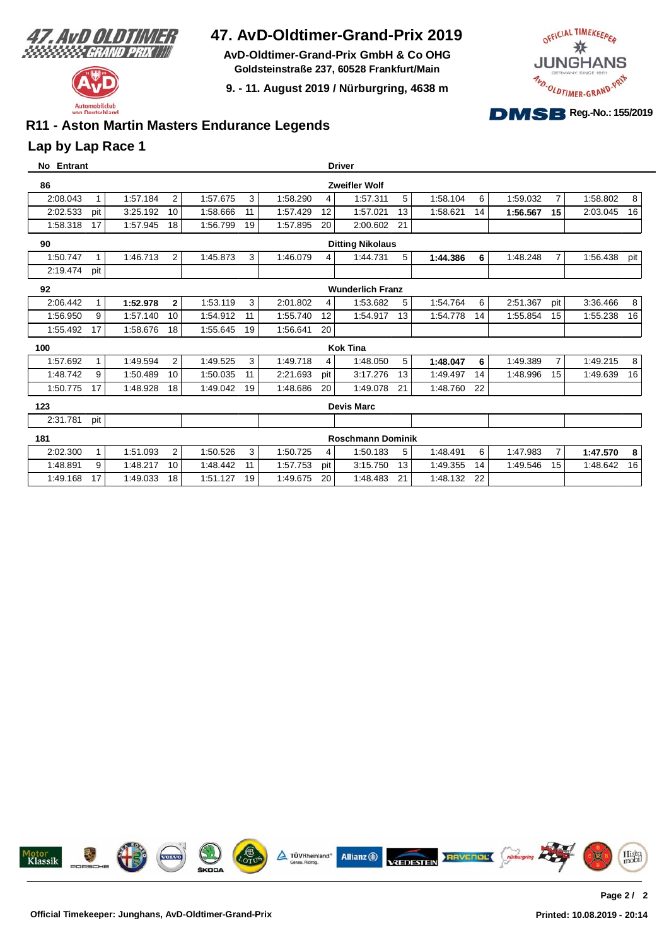

Automobilclub von Deutschland

## **47. AvD-Oldtimer-Grand-Prix 2019**

**AvD-Oldtimer-Grand-Prix GmbH & Co OHG Goldsteinstraße 237, 60528 Frankfurt/Main**

**9. - 11. August 2019 / Nürburgring, 4638 m**



### **R11 - Aston Martin Masters Endurance Legends**

#### **Lap by Lap Race 1**

| No Entrant |              |          |                |                |   |                 | <b>Driver</b>            |    |                |          |                |          |     |
|------------|--------------|----------|----------------|----------------|---|-----------------|--------------------------|----|----------------|----------|----------------|----------|-----|
| 86         |              |          |                |                |   |                 | <b>Zweifler Wolf</b>     |    |                |          |                |          |     |
| 2:08.043   | $\mathbf{1}$ | 1:57.184 | $\overline{2}$ | 1:57.675       | 3 | 4<br>1:58.290   | 1:57.311                 | 5  | 1:58.104<br>6  | 1:59.032 | $\overline{7}$ | 1:58.802 | 8   |
| 2:02.533   | pit          | 3:25.192 | 10             | 1:58.666<br>11 |   | 1:57.429<br>12  | 1:57.021                 | 13 | 1:58.621<br>14 | 1:56.567 | 15             | 2:03.045 | 16  |
| 1:58.318   | 17           | 1:57.945 | 18             | 1:56.799<br>19 |   | 1:57.895<br>20  | 2:00.602                 | 21 |                |          |                |          |     |
| 90         |              |          |                |                |   |                 | <b>Ditting Nikolaus</b>  |    |                |          |                |          |     |
| 1:50.747   | 1            | 1:46.713 | $\overline{2}$ | 1:45.873       | 3 | 1:46.079<br>4   | 1:44.731                 | 5  | 6<br>1:44.386  | 1:48.248 | $\overline{7}$ | 1:56.438 | pit |
| 2:19.474   | pit          |          |                |                |   |                 |                          |    |                |          |                |          |     |
| 92         |              |          |                |                |   |                 | <b>Wunderlich Franz</b>  |    |                |          |                |          |     |
| 2:06.442   | $\mathbf{1}$ | 1:52.978 | $\mathbf{2}$   | 1:53.119       | 3 | 2:01.802<br>4   | 1:53.682                 | 5  | 6<br>1:54.764  | 2:51.367 | pit            | 3:36.466 | 8   |
| 1:56.950   | 9            | 1:57.140 | 10             | 1:54.912<br>11 |   | 1:55.740<br>12  | 1:54.917                 | 13 | 1:54.778<br>14 | 1:55.854 | 15             | 1:55.238 | 16  |
| 1:55.492   | 17           | 1:58.676 | 18             | 1:55.645<br>19 |   | 1:56.641<br>20  |                          |    |                |          |                |          |     |
| 100        |              |          |                |                |   |                 | <b>Kok Tina</b>          |    |                |          |                |          |     |
| 1:57.692   | $\mathbf{1}$ | 1:49.594 | 2              | 1:49.525       | 3 | 1:49.718<br>4   | 1:48.050                 | 5  | 6<br>1:48.047  | 1:49.389 | $\overline{7}$ | 1:49.215 | 8   |
| 1:48.742   | 9            | 1:50.489 | 10             | 1:50.035<br>11 |   | 2:21.693<br>pit | 3:17.276                 | 13 | 1:49.497<br>14 | 1:48.996 | 15             | 1:49.639 | 16  |
| 1:50.775   | 17           | 1:48.928 | 18             | 1:49.042<br>19 |   | 1:48.686<br>20  | 1:49.078                 | 21 | 22<br>1:48.760 |          |                |          |     |
| 123        |              |          |                |                |   |                 | <b>Devis Marc</b>        |    |                |          |                |          |     |
| 2:31.781   | pit          |          |                |                |   |                 |                          |    |                |          |                |          |     |
| 181        |              |          |                |                |   |                 | <b>Roschmann Dominik</b> |    |                |          |                |          |     |
| 2:02.300   | $\mathbf{1}$ | 1:51.093 | $\overline{2}$ | 1:50.526       | 3 | 1:50.725<br>4   | 1:50.183                 | 5  | 6<br>1:48.491  | 1:47.983 | $\overline{7}$ | 1:47.570 | 8   |
| 1:48.891   | 9            | 1:48.217 | 10             | 1:48.442<br>11 |   | 1:57.753<br>pit | 3:15.750                 | 13 | 1:49.355<br>14 | 1:49.546 | 15             | 1:48.642 | 16  |
| 1:49.168   | 17           | 1:49.033 | 18             | 1:51.127<br>19 |   | 1:49.675<br>20  | 1:48.483                 | 21 | 1:48.132<br>22 |          |                |          |     |

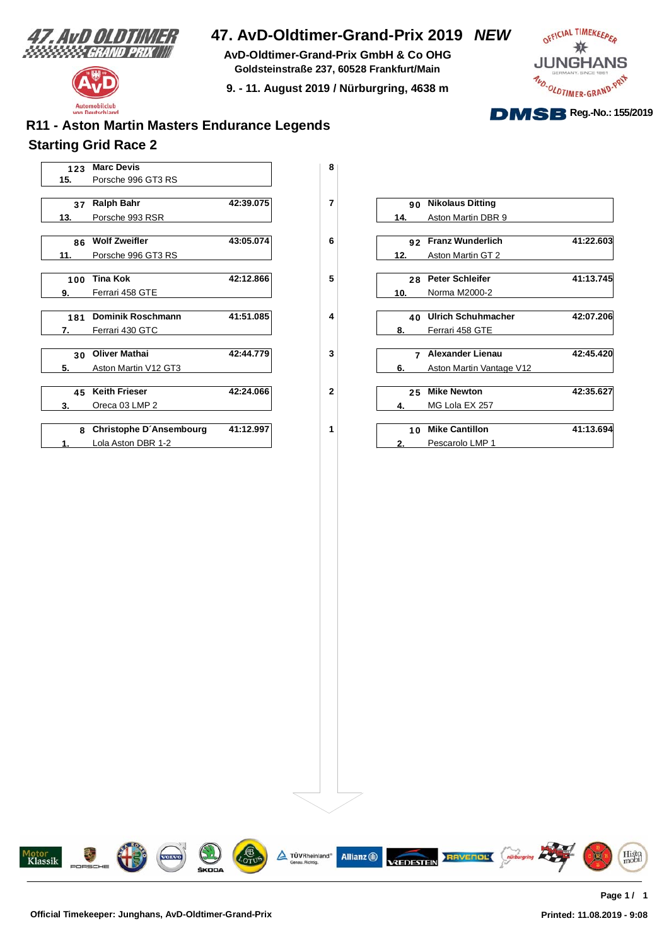

Automobilclub von Deutschland

## **47. AvD-Oldtimer-Grand-Prix 2019** *NEW*

**AvD-Oldtimer-Grand-Prix GmbH & Co OHG Goldsteinstraße 237, 60528 Frankfurt/Main**

**9. - 11. August 2019 / Nürburgring, 4638 m**



## **Starting Grid Race 2 R11 - Aston Martin Masters Endurance Legends**



|     | 90 Nikolaus Ditting      |           |
|-----|--------------------------|-----------|
| 14. | Aston Martin DBR 9       |           |
|     |                          |           |
|     | 92 Franz Wunderlich      | 41:22.603 |
| 12. | Aston Martin GT 2        |           |
|     |                          |           |
|     | 28 Peter Schleifer       | 41:13.745 |
| 10. | Norma M2000-2            |           |
|     |                          |           |
|     | 40 Ulrich Schuhmacher    | 42:07.206 |
| 8.  | Ferrari 458 GTE          |           |
|     |                          |           |
|     | 7 Alexander Lienau       | 42:45.420 |
| 6.  | Aston Martin Vantage V12 |           |
|     |                          |           |
|     | 25 Mike Newton           | 42:35.627 |
| 4.  | MG Lola EX 257           |           |
|     |                          |           |
|     | 10 Mike Cantillon        | 41:13.694 |
| 2.  | Pescarolo LMP 1          |           |

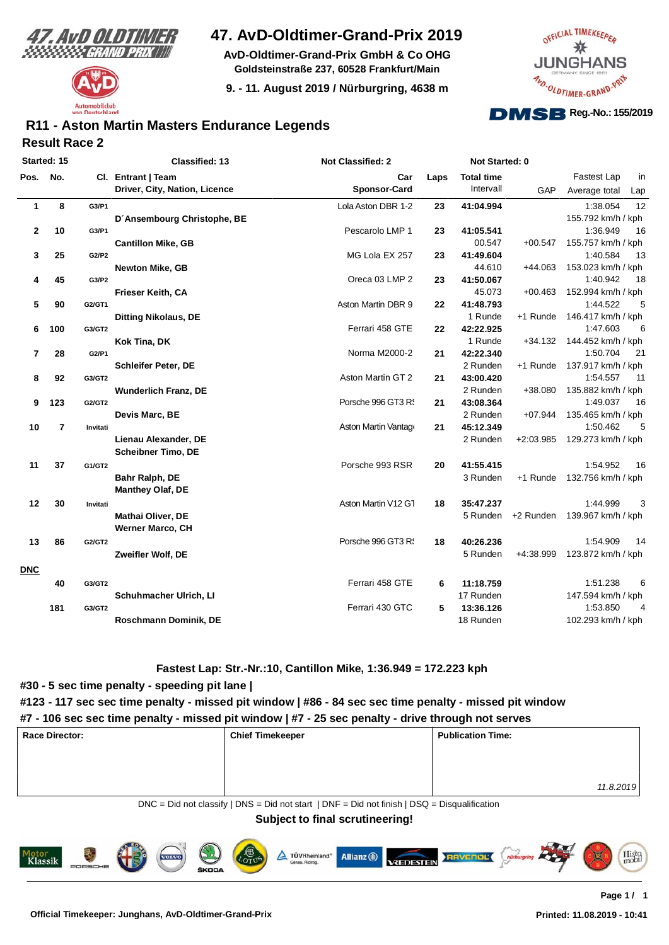



**AvD-Oldtimer-Grand-Prix GmbH & Co OHG Goldsteinstraße 237, 60528 Frankfurt/Main**

**9. - 11. August 2019 / Nürburgring, 4638 m**



#### **Result Race 2 R11 - Aston Martin Masters Endurance Legends**

| Started: 15 |     |          | <b>Classified: 13</b>                               | <b>Not Classified: 2</b> |      | Not Started: 0    |             |                              |
|-------------|-----|----------|-----------------------------------------------------|--------------------------|------|-------------------|-------------|------------------------------|
| Pos.        | No. |          | Cl. Entrant   Team                                  | Car                      | Laps | <b>Total time</b> |             | Fastest Lap<br>in            |
|             |     |          | Driver, City, Nation, Licence                       | <b>Sponsor-Card</b>      |      | Intervall         | GAP         | Average total<br>Lap         |
| 1           | 8   | G3/P1    |                                                     | Lola Aston DBR 1-2       | 23   | 41:04.994         |             | 12<br>1:38.054               |
|             |     |          | D'Ansembourg Christophe, BE                         |                          |      |                   |             | 155.792 km/h / kph           |
| $\mathbf 2$ | 10  | G3/P1    |                                                     | Pescarolo LMP 1          | 23   | 41:05.541         |             | 16<br>1:36.949               |
|             |     |          | <b>Cantillon Mike, GB</b>                           |                          |      | 00.547            | $+00.547$   | 155.757 km/h / kph           |
| 3           | 25  | G2/P2    |                                                     | MG Lola EX 257           | 23   | 41:49.604         |             | 1:40.584<br>13               |
|             |     |          | <b>Newton Mike, GB</b>                              |                          |      | 44.610            | $+44.063$   | 153.023 km/h / kph           |
| 4           | 45  | G3/P2    |                                                     | Oreca 03 LMP 2           | 23   | 41:50.067         |             | 1:40.942<br>18               |
|             |     |          | <b>Frieser Keith, CA</b>                            |                          |      | 45.073            | $+00.463$   | 152.994 km/h / kph           |
| 5           | 90  | G2/GT1   |                                                     | Aston Martin DBR 9       | 22   | 41:48.793         |             | 1:44.522<br>5                |
|             |     |          | <b>Ditting Nikolaus, DE</b>                         |                          |      | 1 Runde           | +1 Runde    | 146.417 km/h / kph           |
| 6           | 100 | G3/GT2   |                                                     | Ferrari 458 GTE          | 22   | 42:22.925         |             | 1:47.603<br>6                |
|             |     |          | Kok Tina, DK                                        |                          |      | 1 Runde           | $+34.132$   | 144.452 km/h / kph           |
| 7           | 28  | G2/P1    |                                                     | Norma M2000-2            | 21   | 42:22.340         |             | 1:50.704<br>21               |
|             |     |          | <b>Schleifer Peter, DE</b>                          |                          |      | 2 Runden          | +1 Runde    | 137.917 km/h / kph           |
| 8           | 92  | G3/GT2   |                                                     | Aston Martin GT 2        | 21   | 43:00.420         |             | 1:54.557<br>11               |
|             |     |          | <b>Wunderlich Franz, DE</b>                         |                          |      | 2 Runden          | +38.080     | 135.882 km/h / kph           |
| 9           | 123 | G2/GT2   |                                                     | Porsche 996 GT3 R!       | 21   | 43:08.364         |             | 1:49.037<br>16               |
|             |     |          | Devis Marc, BE                                      |                          |      | 2 Runden          | $+07.944$   | 135.465 km/h / kph           |
| 10          | 7   | Invitati |                                                     | Aston Martin Vantage     | 21   | 45:12.349         |             | 1:50.462<br>5                |
|             |     |          | Lienau Alexander, DE<br><b>Scheibner Timo, DE</b>   |                          |      | 2 Runden          | $+2:03.985$ | 129.273 km/h / kph           |
| 11          | 37  | G1/GT2   |                                                     | Porsche 993 RSR          | 20   | 41:55.415         |             | 1:54.952<br>16               |
|             |     |          | Bahr Ralph, DE<br><b>Manthey Olaf, DE</b>           |                          |      | 3 Runden          | +1 Runde    | 132.756 km/h / kph           |
| 12          | 30  | Invitati |                                                     | Aston Martin V12 G1      | 18   | 35:47.237         |             | 1:44.999<br>3                |
|             |     |          | <b>Mathai Oliver, DE</b><br><b>Werner Marco, CH</b> |                          |      | 5 Runden          |             | +2 Runden 139.967 km/h / kph |
| 13          | 86  | G2/GT2   |                                                     | Porsche 996 GT3 R!       | 18   | 40:26.236         |             | 1:54.909<br>14               |
|             |     |          | Zweifler Wolf, DE                                   |                          |      | 5 Runden          | $+4:38.999$ | 123.872 km/h / kph           |
| <b>DNC</b>  | 40  | G3/GT2   |                                                     | Ferrari 458 GTE          | 6    | 11:18.759         |             | 6<br>1:51.238                |
|             |     |          | Schuhmacher Ulrich, LI                              |                          |      | 17 Runden         |             | 147.594 km/h / kph           |
|             | 181 | G3/GT2   |                                                     | Ferrari 430 GTC          | 5    | 13:36.126         |             | 1:53.850<br>$\overline{4}$   |
|             |     |          | Roschmann Dominik, DE                               |                          |      | 18 Runden         |             | 102.293 km/h / kph           |

#### **Fastest Lap: Str.-Nr.:10, Cantillon Mike, 1:36.949 = 172.223 kph**

#### **#30 - 5 sec time penalty - speeding pit lane |**

#### **#123 - 117 sec sec time penalty - missed pit window | #86 - 84 sec sec time penalty - missed pit window**

#### **#7 - 106 sec sec time penalty - missed pit window | #7 - 25 sec penalty - drive through not serves**

| <b>Race Director:</b> | <b>Chief Timekeeper</b>                                                                           | <b>Publication Time:</b> |  |  |  |  |  |  |
|-----------------------|---------------------------------------------------------------------------------------------------|--------------------------|--|--|--|--|--|--|
|                       |                                                                                                   |                          |  |  |  |  |  |  |
|                       |                                                                                                   |                          |  |  |  |  |  |  |
|                       |                                                                                                   | 11.8.2019                |  |  |  |  |  |  |
|                       | $DNC = Did$ not classify $ DNS = Did$ not start $ DNF = Did$ not finish $ DSQ = Disqualification$ |                          |  |  |  |  |  |  |

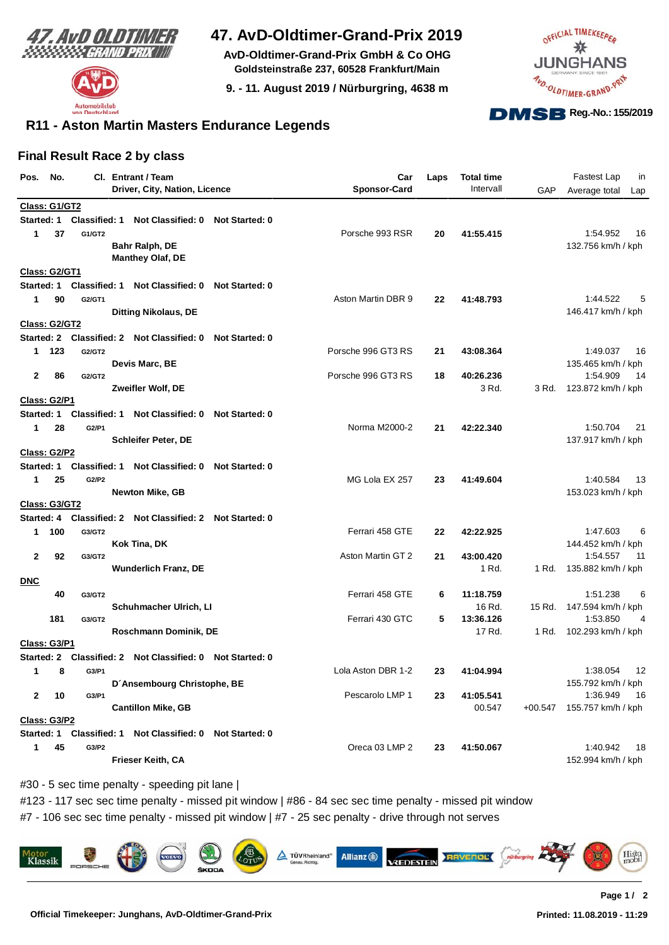



**AvD-Oldtimer-Grand-Prix GmbH & Co OHG Goldsteinstraße 237, 60528 Frankfurt/Main**

**9. - 11. August 2019 / Nürburgring, 4638 m**



### **R11 - Aston Martin Masters Endurance Legends**

#### **Final Result Race 2 by class**

| Pos.                 | No. |                      | Cl. Entrant / Team                                        |                       | Car                 | Laps | <b>Total time</b> |           | Fastest Lap<br>in                    |
|----------------------|-----|----------------------|-----------------------------------------------------------|-----------------------|---------------------|------|-------------------|-----------|--------------------------------------|
|                      |     |                      | Driver, City, Nation, Licence                             |                       | <b>Sponsor-Card</b> |      | Intervall         | GAP       | Average total<br>Lap                 |
| Class: G1/GT2        |     |                      |                                                           |                       |                     |      |                   |           |                                      |
| Started: 1           |     | <b>Classified: 1</b> | Not Classified: 0                                         | <b>Not Started: 0</b> |                     |      |                   |           |                                      |
| 1                    | 37  | G1/GT2               |                                                           |                       | Porsche 993 RSR     | 20   | 41:55.415         |           | 1:54.952<br>16                       |
|                      |     |                      | Bahr Ralph, DE                                            |                       |                     |      |                   |           | 132.756 km/h / kph                   |
|                      |     |                      | <b>Manthey Olaf, DE</b>                                   |                       |                     |      |                   |           |                                      |
| <b>Class: G2/GT1</b> |     |                      |                                                           |                       |                     |      |                   |           |                                      |
| Started: 1           |     | <b>Classified: 1</b> | Not Classified: 0                                         | <b>Not Started: 0</b> |                     |      |                   |           |                                      |
| 1                    | 90  | G2/GT1               |                                                           |                       | Aston Martin DBR 9  | 22   | 41:48.793         |           | 1:44.522<br>5                        |
|                      |     |                      | <b>Ditting Nikolaus, DE</b>                               |                       |                     |      |                   |           | 146.417 km/h / kph                   |
| Class: G2/GT2        |     |                      |                                                           |                       |                     |      |                   |           |                                      |
|                      |     |                      | Started: 2 Classified: 2 Not Classified: 0                | <b>Not Started: 0</b> |                     |      |                   |           |                                      |
| 1                    | 123 | G2/GT2               |                                                           |                       | Porsche 996 GT3 RS  | 21   | 43:08.364         |           | 1:49.037<br>16                       |
|                      |     |                      | Devis Marc, BE                                            |                       |                     |      |                   |           | 135.465 km/h / kph                   |
| 2                    | 86  | G2/GT2               |                                                           |                       | Porsche 996 GT3 RS  | 18   | 40:26.236         |           | 1:54.909<br>14                       |
| <b>Class: G2/P1</b>  |     |                      | Zweifler Wolf, DE                                         |                       |                     |      | 3 Rd.             | 3 Rd.     | 123.872 km/h / kph                   |
| Started: 1           |     | <b>Classified: 1</b> | Not Classified: 0                                         | <b>Not Started: 0</b> |                     |      |                   |           |                                      |
| 1                    | 28  | G2/P1                |                                                           |                       | Norma M2000-2       | 21   | 42:22.340         |           | 1:50.704<br>21                       |
|                      |     |                      | <b>Schleifer Peter, DE</b>                                |                       |                     |      |                   |           | 137.917 km/h / kph                   |
| Class: G2/P2         |     |                      |                                                           |                       |                     |      |                   |           |                                      |
| Started: 1           |     | <b>Classified: 1</b> | Not Classified: 0 Not Started: 0                          |                       |                     |      |                   |           |                                      |
| 1                    | 25  | G2/P2                |                                                           |                       | MG Lola EX 257      | 23   | 41:49.604         |           | 1:40.584<br>13                       |
|                      |     |                      | <b>Newton Mike, GB</b>                                    |                       |                     |      |                   |           | 153.023 km/h / kph                   |
| Class: G3/GT2        |     |                      |                                                           |                       |                     |      |                   |           |                                      |
|                      |     |                      | Started: 4 Classified: 2 Not Classified: 2 Not Started: 0 |                       |                     |      |                   |           |                                      |
| 1.                   | 100 | G3/GT2               |                                                           |                       | Ferrari 458 GTE     | 22   | 42:22.925         |           | 6<br>1:47.603                        |
|                      |     |                      | Kok Tina, DK                                              |                       |                     |      |                   |           | 144.452 km/h / kph                   |
| 2                    | 92  | G3/GT2               |                                                           |                       | Aston Martin GT 2   | 21   | 43:00.420         |           | 1:54.557<br>11                       |
|                      |     |                      | <b>Wunderlich Franz, DE</b>                               |                       |                     |      | 1 Rd.             | 1 Rd.     | 135.882 km/h / kph                   |
| <b>DNC</b>           |     |                      |                                                           |                       |                     |      |                   |           |                                      |
|                      | 40  | G3/GT2               |                                                           |                       | Ferrari 458 GTE     | 6    | 11:18.759         |           | 1:51.238<br>6                        |
|                      |     |                      | Schuhmacher Ulrich, LI                                    |                       |                     |      | 16 Rd.            | 15 Rd.    | 147.594 km/h / kph                   |
|                      | 181 | G3/GT2               |                                                           |                       | Ferrari 430 GTC     | 5    | 13:36.126         |           | 1:53.850<br>4                        |
|                      |     |                      | Roschmann Dominik, DE                                     |                       |                     |      | 17 Rd.            |           | 1 Rd. 102.293 km/h / kph             |
| Class: G3/P1         |     |                      |                                                           |                       |                     |      |                   |           |                                      |
| <b>Started: 2</b>    |     |                      | Classified: 2 Not Classified: 0                           | <b>Not Started: 0</b> |                     |      |                   |           |                                      |
| 1                    | 8   | G3/P1                | D'Ansembourg Christophe, BE                               |                       | Lola Aston DBR 1-2  | 23   | 41:04.994         |           | 1:38.054<br>12<br>155.792 km/h / kph |
| 2                    | 10  | G3/P1                |                                                           |                       | Pescarolo LMP 1     | 23   | 41:05.541         |           | 1:36.949<br>16                       |
|                      |     |                      | <b>Cantillon Mike, GB</b>                                 |                       |                     |      | 00.547            | $+00.547$ | 155.757 km/h / kph                   |
| <b>Class: G3/P2</b>  |     |                      |                                                           |                       |                     |      |                   |           |                                      |
| Started: 1           |     | <b>Classified: 1</b> | Not Classified: 0                                         | <b>Not Started: 0</b> |                     |      |                   |           |                                      |
| 1                    | 45  | G3/P2                |                                                           |                       | Oreca 03 LMP 2      | 23   | 41:50.067         |           | 1:40.942<br>18                       |
|                      |     |                      | Frieser Keith, CA                                         |                       |                     |      |                   |           | 152.994 km/h / kph                   |
|                      |     |                      |                                                           |                       |                     |      |                   |           |                                      |

#30 - 5 sec time penalty - speeding pit lane |

#123 - 117 sec sec time penalty - missed pit window | #86 - 84 sec sec time penalty - missed pit window

#7 - 106 sec sec time penalty - missed pit window | #7 - 25 sec penalty - drive through not serves

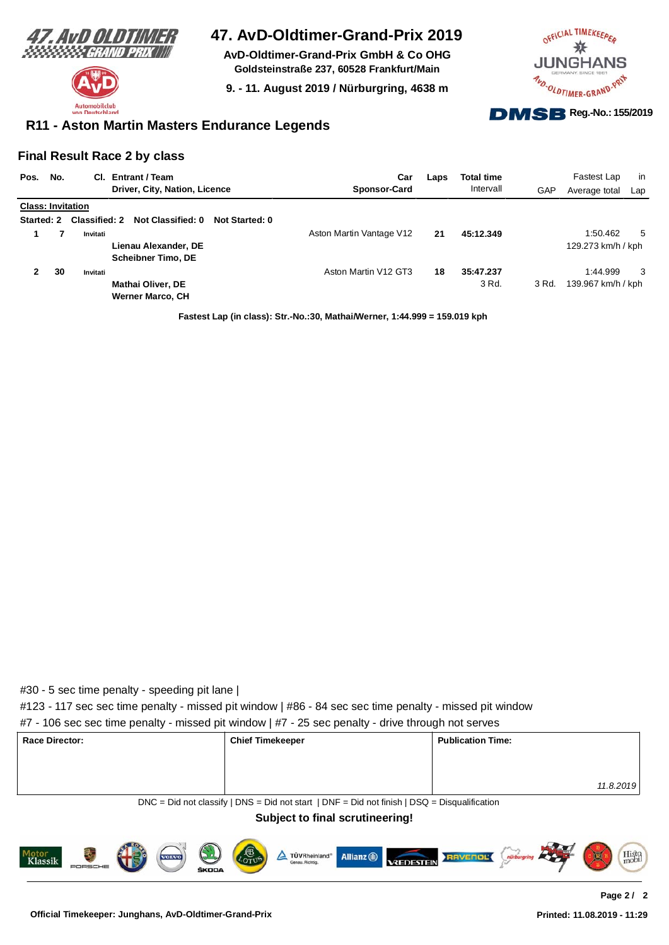



**AvD-Oldtimer-Grand-Prix GmbH & Co OHG Goldsteinstraße 237, 60528 Frankfurt/Main**

**9. - 11. August 2019 / Nürburgring, 4638 m**



#### **R11 - Aston Martin Masters Endurance Legends**

#### **Final Result Race 2 by class**

| Pos.                     | No. |                      | CI. Entrant / Team            |                | Car                      | Laps | <b>Total time</b> |       | Fastest Lap        | -in |
|--------------------------|-----|----------------------|-------------------------------|----------------|--------------------------|------|-------------------|-------|--------------------|-----|
|                          |     |                      | Driver, City, Nation, Licence |                | <b>Sponsor-Card</b>      |      | Intervall         | GAP   | Average total      | Lap |
| <b>Class: Invitation</b> |     |                      |                               |                |                          |      |                   |       |                    |     |
| Started: 2               |     | <b>Classified: 2</b> | Not Classified: 0             | Not Started: 0 |                          |      |                   |       |                    |     |
|                          |     | Invitati             |                               |                | Aston Martin Vantage V12 | 21   | 45:12.349         |       | 1:50.462           | 5   |
|                          |     |                      | Lienau Alexander, DE          |                |                          |      |                   |       | 129.273 km/h / kph |     |
|                          |     |                      | <b>Scheibner Timo, DE</b>     |                |                          |      |                   |       |                    |     |
|                          | 30  | Invitati             |                               |                | Aston Martin V12 GT3     | 18   | 35:47.237         |       | 1:44.999           | 3   |
|                          |     |                      | <b>Mathai Oliver, DE</b>      |                |                          |      | 3 Rd.             | 3 Rd. | 139.967 km/h / kph |     |
|                          |     |                      | <b>Werner Marco, CH</b>       |                |                          |      |                   |       |                    |     |

**Fastest Lap (in class): Str.-No.:30, Mathai/Werner, 1:44.999 = 159.019 kph**

#### #30 - 5 sec time penalty - speeding pit lane |

#123 - 117 sec sec time penalty - missed pit window | #86 - 84 sec sec time penalty - missed pit window

|  |  |  |  |  | #7 - 106 sec sec time penalty - missed pit window   #7 - 25 sec penalty - drive through not serves |
|--|--|--|--|--|----------------------------------------------------------------------------------------------------|
|--|--|--|--|--|----------------------------------------------------------------------------------------------------|

| <b>Race Director:</b> | <b>Chief Timekeeper</b>                                                                      | <b>Publication Time:</b> |
|-----------------------|----------------------------------------------------------------------------------------------|--------------------------|
|                       |                                                                                              |                          |
|                       |                                                                                              | 11.8.2019                |
|                       | DNC = Did not classify   DNS = Did not start   DNF = Did not finish   DSQ = Disqualification |                          |

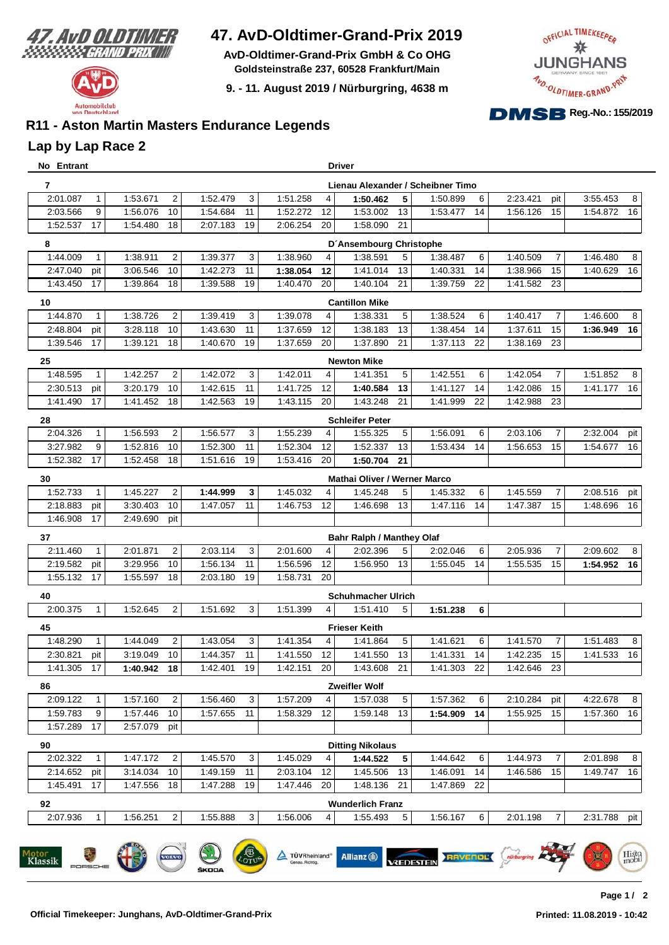

**AvD-Oldtimer-Grand-Prix GmbH & Co OHG Goldsteinstraße 237, 60528 Frankfurt/Main**

**9. - 11. August 2019 / Nürburgring, 4638 m**



### **R11 - Aston Martin Masters Endurance Legends**

#### **Lap by Lap Race 2**

| No Entrant               |                        |             |                |             |    |             |                | Driver                           |    |                                   |    |             |                |          |     |
|--------------------------|------------------------|-------------|----------------|-------------|----|-------------|----------------|----------------------------------|----|-----------------------------------|----|-------------|----------------|----------|-----|
| 7                        |                        |             |                |             |    |             |                |                                  |    | Lienau Alexander / Scheibner Timo |    |             |                |          |     |
| 2:01.087                 | $\mathbf 1$            | 1:53.671    | $\overline{2}$ | 1:52.479    | 3  | 1:51.258    | 4              | 1:50.462                         | 5  | 1:50.899                          | 6  | 2:23.421    | pit            | 3:55.453 | 8   |
| 2:03.566                 | 9                      | 1:56.076    | 10             | 1:54.684    | 11 | 1:52.272    | 12             | 1:53.002                         | 13 | 1:53.477                          | 14 | 1:56.126    | 15             | 1:54.872 | 16  |
| 1:52.537                 | 17                     | 1:54.480    | 18             | 2:07.183    | 19 | 2:06.254    | 20             | 1:58.090                         | 21 |                                   |    |             |                |          |     |
| 8                        |                        |             |                |             |    |             |                | D'Ansembourg Christophe          |    |                                   |    |             |                |          |     |
| 1:44.009                 | $\mathbf{1}$           | 1:38.911    | $\overline{2}$ | 1:39.377    | 3  | 1:38.960    | 4              | 1:38.591                         | 5  | 1:38.487                          | 6  | 1:40.509    | $\overline{7}$ | 1:46.480 | 8   |
| 2:47.040                 | pit                    | 3:06.546    | 10             | 1:42.273    | 11 | 1:38.054    | 12             | 1:41.014                         | 13 | 1:40.331                          | 14 | 1:38.966    | 15             | 1:40.629 | 16  |
| 1:43.450                 | 17                     | 1:39.864    | 18             | 1:39.588    | 19 | 1:40.470    | 20             | 1:40.104                         | 21 | 1:39.759                          | 22 | 1:41.582 23 |                |          |     |
| 10                       |                        |             |                |             |    |             |                | <b>Cantillon Mike</b>            |    |                                   |    |             |                |          |     |
| 1:44.870                 | $\mathbf{1}$           | 1:38.726    | $\overline{2}$ | 1:39.419    | 3  | 1:39.078    | 4              | 1:38.331                         | 5  | 1:38.524                          | 6  | 1:40.417    | $\overline{7}$ | 1:46.600 | 8   |
| 2:48.804                 | pit                    | 3:28.118    | 10             | 1:43.630    | 11 | 1:37.659    | 12             | 1:38.183                         | 13 | 1:38.454                          | 14 | 1:37.611    | 15             | 1:36.949 | 16  |
| 1:39.546                 | 17                     | 1:39.121    | 18             | 1:40.670    | 19 | 1:37.659    | 20             | 1:37.890                         | 21 | 1:37.113                          | 22 | 1:38.169    | 23             |          |     |
| 25<br><b>Newton Mike</b> |                        |             |                |             |    |             |                |                                  |    |                                   |    |             |                |          |     |
| 1:48.595                 | $\mathbf 1$            | 1:42.257    | $\overline{2}$ | 1:42.072    | 3  | 1:42.011    | 4              | 1:41.351                         | 5  | 1:42.551                          | 6  | 1:42.054    | $\overline{7}$ | 1:51.852 | 8   |
| 2:30.513                 | pit                    | 3:20.179    | 10             | 1:42.615    | 11 | 1:41.725    | 12             | 1:40.584                         | 13 | 1:41.127                          | 14 | 1:42.086    | 15             | 1:41.177 | 16  |
| 1:41.490                 | 17                     | 1:41.452    | 18             | 1:42.563    | 19 | 1:43.115    | 20             | 1:43.248                         | 21 | 1:41.999                          | 22 | 1:42.988    | 23             |          |     |
| 28                       | <b>Schleifer Peter</b> |             |                |             |    |             |                |                                  |    |                                   |    |             |                |          |     |
| 2:04.326                 | $\mathbf{1}$           | 1:56.593    | $\overline{2}$ | 1:56.577    | 3  | 1:55.239    | 4              | 1:55.325                         | 5  | 1:56.091                          | 6  | 2:03.106    | $\overline{7}$ | 2:32.004 | pit |
| 3:27.982                 | 9                      | 1:52.816    | 10             | 1:52.300    | 11 | 1:52.304    | 12             | 1:52.337                         | 13 | 1:53.434                          | 14 | 1:56.653    | 15             | 1:54.677 | 16  |
| 1:52.382                 | 17                     | 1:52.458    | 18             | 1:51.616    | 19 | 1:53.416    | 20             | 1:50.704                         | 21 |                                   |    |             |                |          |     |
| 30                       |                        |             |                |             |    |             |                | Mathai Oliver / Werner Marco     |    |                                   |    |             |                |          |     |
| 1:52.733                 | $\mathbf{1}$           | 1:45.227    | $\overline{2}$ | 1:44.999    | 3  | 1:45.032    | $\overline{4}$ | 1:45.248                         | 5  | 1:45.332                          | 6  | 1:45.559    | $\overline{7}$ | 2:08.516 | pit |
| 2:18.883                 | pit                    | 3:30.403    | 10             | 1:47.057    | 11 | 1:46.753    | 12             | 1:46.698                         | 13 | 1:47.116                          | 14 | 1:47.387    | 15             | 1:48.696 | 16  |
| 1:46.908                 | 17                     | 2:49.690    | pit            |             |    |             |                |                                  |    |                                   |    |             |                |          |     |
| 37                       |                        |             |                |             |    |             |                | <b>Bahr Ralph / Manthey Olaf</b> |    |                                   |    |             |                |          |     |
| 2:11.460                 | $\mathbf{1}$           | 2:01.871    | $\overline{2}$ | 2:03.114    | 3  | 2:01.600    | 4              | 2:02.396                         | 5  | 2:02.046                          | 6  | 2:05.936    | $\overline{7}$ | 2:09.602 | 8   |
| 2:19.582                 | pit                    | 3:29.956    | 10             | 1:56.134    | 11 | 1:56.596    | 12             | 1:56.950                         | 13 | 1:55.045                          | 14 | 1:55.535    | 15             | 1:54.952 | 16  |
| 1:55.132                 | 17                     | 1:55.597    | 18             | 2:03.180    | 19 | 1:58.731    | 20             |                                  |    |                                   |    |             |                |          |     |
| 40                       |                        |             |                |             |    |             |                | <b>Schuhmacher Ulrich</b>        |    |                                   |    |             |                |          |     |
| 2:00.375                 | $\mathbf{1}$           | 1:52.645    | $\overline{2}$ | 1:51.692    | 3  | 1:51.399    | 4              | 1:51.410                         | 5  | 1:51.238                          | 6  |             |                |          |     |
| 45                       |                        |             |                |             |    |             |                | <b>Frieser Keith</b>             |    |                                   |    |             |                |          |     |
| 1:48.290                 | $\mathbf{1}$           | 1:44.049    | $\overline{2}$ | 1:43.054    | 3  | 1:41.354    | 4              | 1:41.864                         | 5  | 1:41.621                          | 6  | 1:41.570    | $\overline{7}$ | 1:51.483 | 8   |
| 2:30.821                 | pit                    | 3:19.049    | 10             | 1:44.357    | 11 | 1:41.550    | 12             | 1:41.550                         | 13 | 1:41.331                          | 14 | 1:42.235    | 15             | 1:41.533 | 16  |
| 1:41.305 17              |                        | 1:40.942 18 |                | 1:42.401 19 |    | 1:42.151 20 |                | $1:43.608$ 21                    |    | 1:41.303 22                       |    | 1:42.646 23 |                |          |     |
| 86                       |                        |             |                |             |    |             |                | Zweifler Wolf                    |    |                                   |    |             |                |          |     |
| 2:09.122                 | $\mathbf{1}$           | 1:57.160    | $\overline{2}$ | 1:56.460    | 3  | 1:57.209    | 4              | 1:57.038                         | 5  | 1:57.362                          | 6  | 2:10.284    | pit            | 4:22.678 | 8   |
| 1:59.783                 | 9                      | 1:57.446 10 |                | 1:57.655    | 11 | 1:58.329    | 12             | 1:59.148                         | 13 | 1:54.909                          | 14 | 1:55.925 15 |                | 1:57.360 | 16  |
| 1:57.289                 | 17                     | 2:57.079    | pit            |             |    |             |                |                                  |    |                                   |    |             |                |          |     |
| 90                       |                        |             |                |             |    |             |                | <b>Ditting Nikolaus</b>          |    |                                   |    |             |                |          |     |
| 2:02.322                 | $\mathbf{1}$           | 1:47.172    | $\overline{2}$ | 1:45.570    | 3  | 1:45.029    | 4              | 1:44.522                         | 5  | 1:44.642                          | 6  | 1:44.973    | $\overline{7}$ | 2:01.898 | 8   |
| 2:14.652                 | pit                    | 3:14.034 10 |                | 1:49.159    | 11 | 2:03.104    | 12             | 1:45.506                         | 13 | 1:46.091                          | 14 | 1:46.586    | 15             | 1:49.747 | 16  |
| 1:45.491                 | 17                     | 1:47.556    | 18             | 1:47.288    | 19 | 1:47.446    | 20             | 1:48.136                         | 21 | 1:47.869                          | 22 |             |                |          |     |
| 92                       |                        |             |                |             |    |             |                | <b>Wunderlich Franz</b>          |    |                                   |    |             |                |          |     |
| 2:07.936                 | $\mathbf{1}$           | 1:56.251    | 2              | 1:55.888    | 3  | 1:56.006    | 4              | 1:55.493                         | 5  | 1:56.167                          | 6  | 2:01.198    | $\overline{7}$ | 2:31.788 | pit |
|                          |                        |             |                |             |    |             |                |                                  |    |                                   |    |             |                |          |     |